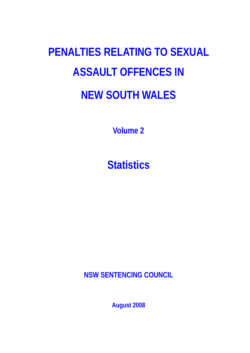# **PENALTIES RELATING TO SEXUAL ASSAULT OFFENCES IN NEW SOUTH WALES**

**Volume 2** 

**Statistics** 

**NSW SENTENCING COUNCIL** 

**August 2008**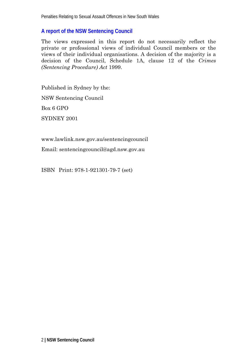#### **A report of the NSW Sentencing Council**

The views expressed in this report do not necessarily reflect the private or professional views of individual Council members or the views of their individual organisations. A decision of the majority is a decision of the Council, Schedule 1A, clause 12 of the *Crimes (Sentencing Procedure) Act* 1999.

Published in Sydney by the: NSW Sentencing Council Box 6 GPO SYDNEY 2001

www.lawlink.nsw.gov.au/sentencingcouncil

Email: sentencingcouncil@agd.nsw.gov.au

ISBN Print: 978-1-921301-79-7 (set)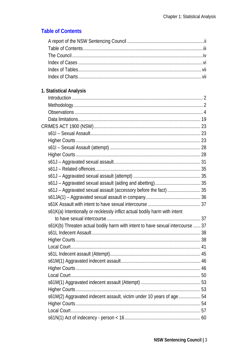### **Table of Contents**

#### 1. Statistical Analysis

| s61J - Aggravated sexual assault (accessory before the fact)  35               |  |
|--------------------------------------------------------------------------------|--|
|                                                                                |  |
|                                                                                |  |
| s61K(a) Intentionally or recklessly inflict actual bodily harm with intent     |  |
|                                                                                |  |
| s61K(b) Threaten actual bodily harm with intent to have sexual intercourse  37 |  |
|                                                                                |  |
|                                                                                |  |
|                                                                                |  |
|                                                                                |  |
|                                                                                |  |
|                                                                                |  |
|                                                                                |  |
|                                                                                |  |
|                                                                                |  |
| s61M(2) Aggravated indecent assault, victim under 10 years of age54            |  |
|                                                                                |  |
|                                                                                |  |
|                                                                                |  |
|                                                                                |  |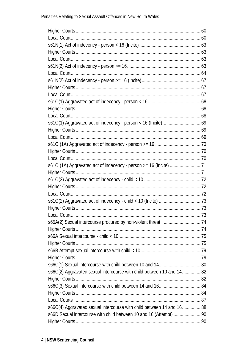| s66C(2) Aggravated sexual intercourse with child between 10 and 14 82 |  |
|-----------------------------------------------------------------------|--|
|                                                                       |  |
|                                                                       |  |
|                                                                       |  |
|                                                                       |  |
| s66C(4) Aggravated sexual intercourse with child between 14 and 16 88 |  |
| s66D Sexual intercourse with child between 10 and 16 (Attempt)  90    |  |
|                                                                       |  |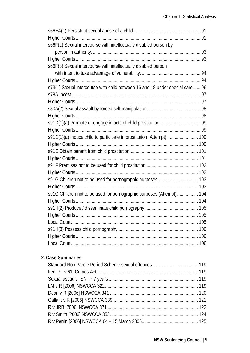| s66F(2) Sexual intercourse with intellectually disabled person by            |  |
|------------------------------------------------------------------------------|--|
|                                                                              |  |
|                                                                              |  |
| s66F(3) Sexual intercourse with intellectually disabled person               |  |
|                                                                              |  |
|                                                                              |  |
| s73(1) Sexual intercourse with child between 16 and 18 under special care 96 |  |
|                                                                              |  |
|                                                                              |  |
|                                                                              |  |
|                                                                              |  |
|                                                                              |  |
|                                                                              |  |
| s91D(1)(a) Induce child to participate in prostitution (Attempt)  100        |  |
|                                                                              |  |
|                                                                              |  |
|                                                                              |  |
|                                                                              |  |
|                                                                              |  |
| s91G Children not to be used for pornographic purposes 103                   |  |
|                                                                              |  |
| s91G Children not to be used for pornographic purposes (Attempt) 104         |  |
|                                                                              |  |
|                                                                              |  |
|                                                                              |  |
|                                                                              |  |
|                                                                              |  |
|                                                                              |  |
|                                                                              |  |

#### 2. Case Summaries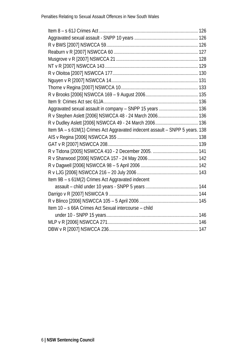| Aggravated sexual assault in company - SNPP 15 years  136                     |  |
|-------------------------------------------------------------------------------|--|
|                                                                               |  |
|                                                                               |  |
| Item 9A - s 61M(1) Crimes Act Aggravated indecent assault - SNPP 5 years. 138 |  |
|                                                                               |  |
|                                                                               |  |
|                                                                               |  |
|                                                                               |  |
|                                                                               |  |
|                                                                               |  |
| Item 9B - s 61M(2) Crimes Act Aggravated indecent                             |  |
|                                                                               |  |
|                                                                               |  |
|                                                                               |  |
| Item 10 - s 66A Crimes Act Sexual intercourse - child                         |  |
|                                                                               |  |
|                                                                               |  |
|                                                                               |  |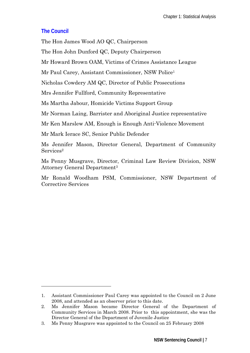#### **The Council**

-

The Hon James Wood AO QC, Chairperson

The Hon John Dunford QC, Deputy Chairperson

Mr Howard Brown OAM, Victims of Crimes Assistance League

Mr Paul Carey, Assistant Commissioner, NSW Police<sup>1</sup>

Nicholas Cowdery AM QC, Director of Public Prosecutions

Mrs Jennifer Fullford, Community Representative

Ms Martha Jabour, Homicide Victims Support Group

Mr Norman Laing, Barrister and Aboriginal Justice representative

Mr Ken Marslew AM, Enough is Enough Anti-Violence Movement

Mr Mark Ierace SC, Senior Public Defender

Ms Jennifer Mason, Director General, Department of Community Services<sup>2</sup>

Ms Penny Musgrave, Director, Criminal Law Review Division, NSW Attorney General Department3

Mr Ronald Woodham PSM, Commissioner, NSW Department of Corrective Services

<sup>1.</sup> Assistant Commissioner Paul Carey was appointed to the Council on 2 June 2008, and attended as an observer prior to this date.

<sup>2.</sup> Ms Jennifer Mason became Director General of the Department of Community Services in March 2008. Prior to this appointment, she was the Director General of the Department of Juvenile Justice

<sup>3.</sup> Ms Penny Musgrave was appointed to the Council on 25 February 2008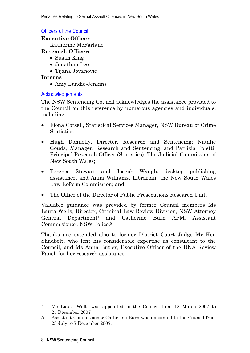#### Officers of the Council

**Executive Officer** 

Katherine McFarlane

#### **Research Officers**

- Susan King
- Jonathan Lee
- Tijana Jovanovic

#### **Interns**

• Amy Lundie-Jenkins

#### Acknowledgements

The NSW Sentencing Council acknowledges the assistance provided to the Council on this reference by numerous agencies and individuals, including:

- Fiona Cotsell, Statistical Services Manager, NSW Bureau of Crime Statistics;
- Hugh Donnelly, Director, Research and Sentencing; Natalie Gouda, Manager, Research and Sentencing; and Patrizia Poletti, Principal Research Officer (Statistics), The Judicial Commission of New South Wales;
- Terence Stewart and Joseph Waugh, desktop publishing assistance, and Anna Williams, Librarian, the New South Wales Law Reform Commission; and
- The Office of the Director of Public Prosecutions Research Unit.

Valuable guidance was provided by former Council members Ms Laura Wells, Director, Criminal Law Review Division, NSW Attorney General Department4 and Catherine Burn APM, Assistant Commissioner, NSW Police.5

Thanks are extended also to former District Court Judge Mr Ken Shadbolt, who lent his considerable expertise as consultant to the Council, and Ms Anna Butler, Executive Officer of the DNA Review Panel, for her research assistance.

<sup>4.</sup> Ms Laura Wells was appointed to the Council from 12 March 2007 to 25 December 2007

<sup>5.</sup> Assistant Commissioner Catherine Burn was appointed to the Council from 23 July to 7 December 2007.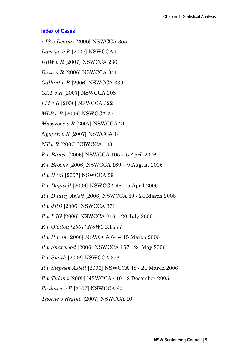#### **Index of Cases**

*AIS v Regina* [2006] NSWCCA 355 *Darrigo v R* [2007] NSWCCA 9 *DBW v R* [2007] NSWCCA 236 *Dean v R* [2006] NSWCCA 341 *Gallant v R* [2006] NSWCCA 339 *GAT v R* [2007] NSWCCA 208 *LM v R* [2006] NSWCCA 322 *MLP v R* [2006] NSWCCA 271 *Musgrove v R* [2007] NSWCCA 21 *Nguyen v R* [2007] NSWCCA 14 *NT v R* [2007] NSWCCA 143 *R v Blinco* [2006] NSWCCA 105 – 5 April 2006 *R v Brooks* [2006] NSWCCA 169 – 9 August 2006 *R v BWS* [2007] NSWCCA 59 *R v Dagwell* [2006] NSWCCA 98 – 5 April 2006 *R v Dudley Aslett* [2006] NSWCCA 49 - 24 March 2006 *R v JRB* [2006] NSWCCA 371 *R v LJG* [2006] NSWCCA 216 – 20 July 2006 *R v Oloitoa [2007] NSWCCA 177 R v Perrin* [2006] NSWCCA 64 – 15 March 2006 *R v Sharwood* [2006] NSWCCA 157 - 24 May 2006 *R v Smith* [2006] NSWCCA 353 *R v Stephen Aslett* [2006] NSWCCA 48 - 24 March 2006 *R v Tidona* [2005] NSWCCA 410 *-* 2 December 2005. *Reaburn v R* [2007] NSWCCA 60

*Thorne v Regina* [2007] NSWCCA 10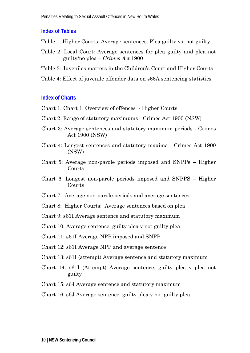#### **Index of Tables**

- Table 1: Higher Courts: Average sentences: Plea guilty vs. not guilty
- Table 2: Local Court: Average sentences for plea guilty and plea not guilty/no plea – *Crimes Act* 1900
- Table 3: Juveniles matters in the Children's Court and Higher Courts
- Table 4: Effect of juvenile offender data on s66A sentencing statistics

#### **Index of Charts**

- Chart 1: Chart 1: Overview of offences Higher Courts
- Chart 2: Range of statutory maximums Crimes Act 1900 (NSW)
- Chart 3: Average sentences and statutory maximum periods Crimes Act 1900 (NSW)
- Chart 4: Longest sentences and statutory maxima Crimes Act 1900 (NSW)
- Chart 5: Average non-parole periods imposed and SNPPs Higher Courts
- Chart 6: Longest non-parole periods imposed and SNPPS Higher Courts
- Chart 7: Average non-parole periods and average sentences
- Chart 8: Higher Courts: Average sentences based on plea
- Chart 9: s61I Average sentence and statutory maximum

Chart 10: Average sentence, guilty plea v not guilty plea

Chart 11: s61I Average NPP imposed and SNPP

- Chart 12: s61I Average NPP and average sentence
- Chart 13: s61I (attempt) Average sentence and statutory maximum
- Chart 14: s61I (Attempt) Average sentence, guilty plea v plea not guilty
- Chart 15: s6J Average sentence and statutory maximum

Chart 16: s6J Average sentence, guilty plea v not guilty plea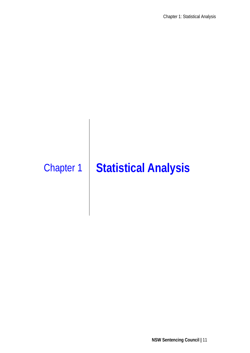## Chapter 1 **Statistical Analysis**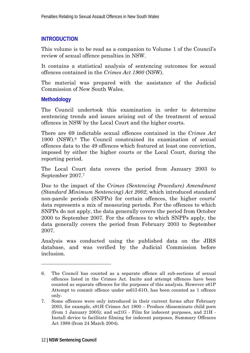#### **INTRODUCTION**

This volume is to be read as a companion to Volume 1 of the Council's review of sexual offence penalties in NSW.

It contains a statistical analysis of sentencing outcomes for sexual offences contained in the *Crimes Act 1900* (NSW).

The material was prepared with the assistance of the Judicial Commission of New South Wales.

#### **Methodology**

The Council undertook this examination in order to determine sentencing trends and issues arising out of the treatment of sexual offences in NSW by the Local Court and the higher courts.

There are 69 indictable sexual offences contained in the *Crimes Act* 1900 (NSW).6 The Council constrained its examination of sexual offences data to the 49 offences which featured at least one conviction, imposed by either the higher courts or the Local Court, during the reporting period.

The Local Court data covers the period from January 2003 to September 2007.7

Due to the impact of the *Crimes (Sentencing Procedure) Amendment (Standard Minimum Sentencing) Act 2002*, which introduced standard non-parole periods (SNPPs) for certain offences, the higher courts' data represents a mix of measuring periods. For the offences to which SNPPs do not apply, the data generally covers the period from October 2000 to September 2007. For the offences to which SNPPs apply, the data generally covers the period from February 2003 to September 2007.

Analysis was conducted using the published data on the JIRS database, and was verified by the Judicial Commission before inclusion.

<sup>6.</sup> The Council has counted as a separate offence all sub-sections of sexual offences listed in the Crimes Act. Incite and attempt offences have been counted as separate offences for the purposes of this analysis. However s61P Attempt to commit offence under ss61I-61O, has been counted as 1 offence only.

<sup>7.</sup> Some offences were only introduced in their current forms after February 2003, for example, s91H Crimes Act 1900 – Produce /disseminate child porn (from 1 January 2005); and ss21G - Film for indecent purposes, and 21H - Install device to facilitate filming for indecent purposes, Summary Offences Act 1988 (from 24 March 2004).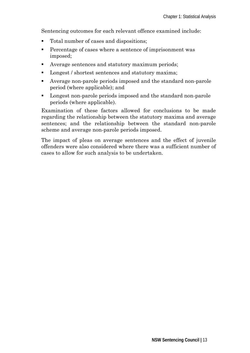Sentencing outcomes for each relevant offence examined include:

- Total number of cases and dispositions:
- **Percentage of cases where a sentence of imprisonment was** imposed;
- Average sentences and statutory maximum periods;
- **Longest** / shortest sentences and statutory maxima;
- Average non-parole periods imposed and the standard non-parole period (where applicable); and
- Longest non-parole periods imposed and the standard non-parole periods (where applicable).

Examination of these factors allowed for conclusions to be made regarding the relationship between the statutory maxima and average sentences; and the relationship between the standard non-parole scheme and average non-parole periods imposed.

The impact of pleas on average sentences and the effect of juvenile offenders were also considered where there was a sufficient number of cases to allow for such analysis to be undertaken.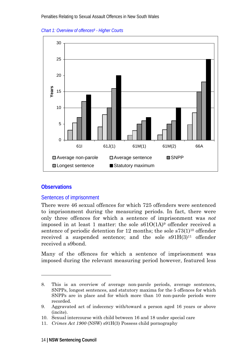*Chart 1: Overview of offences8 - Higher Courts* 



#### **Observations**

-

#### Sentences of imprisonment

There were 46 sexual offences for which 725 offenders were sentenced to imprisonment during the measuring periods. In fact, there were only three offences for which a sentence of imprisonment was *not* imposed in at least 1 matter: the sole  $s61O(1A)$ <sup>9</sup> offender received a sentence of periodic detention for  $12$  months; the sole  $s73(1)^{10}$  offender received a suspended sentence; and the sole  $\text{sg1H}(3)^{11}$  offender received a s9bond.

Many of the offences for which a sentence of imprisonment was imposed during the relevant measuring period however, featured less

<sup>8.</sup> This is an overview of average non-parole periods, average sentences, SNPPs, longest sentences, and statutory maxima for the 5 offences for which SNPPs are in place and for which more than 10 non-parole periods were recorded.

<sup>9.</sup> Aggravated act of indecency with/toward a person aged 16 years or above (incite).

<sup>10.</sup> Sexual intercourse with child between 16 and 18 under special care

<sup>11.</sup> *Crimes Act 1900* (NSW) s91H(3) Possess child pornography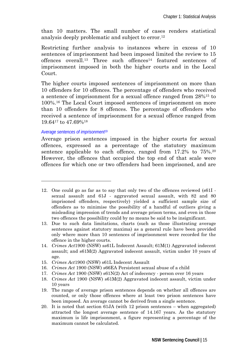than 10 matters. The small number of cases renders statistical analysis deeply problematic and subject to error.12

Restricting further analysis to instances where in excess of 10 sentences of imprisonment had been imposed limited the review to 15 offences overall.<sup>13</sup> Three such offences<sup>14</sup> featured sentences of imprisonment imposed in both the higher courts and in the Local Court.

The higher courts imposed sentences of imprisonment on more than 10 offenders for 10 offences. The percentage of offenders who received a sentence of imprisonment for a sexual offence ranged from 28%15 to 100%.16 The Local Court imposed sentences of imprisonment on more than 10 offenders for 8 offences. The percentage of offenders who received a sentence of imprisonment for a sexual offence ranged from 19.6417 to 47.69%18

#### *Average sentences of imprisonment*<sup>19</sup>

-

Average prison sentences imposed in the higher courts for sexual offences, expressed as a percentage of the statutory maximum sentence applicable to each offence, ranged from 17.2% to 75%.<sup>20</sup> However, the offences that occupied the top end of that scale were offences for which one or two offenders had been imprisoned, and are

- 15. *Crimes Act*1900 (NSW) s61L Indecent Assault
- 16. *Crimes Act* 1900 (NSW) s66EA Persistent sexual abuse of a child
- 17. *Crimes Act* 1900 (NSW) s61N(2) Act of indecency person over 16 years
- 18. *Crimes Act* 1900 (NSW) s61M(2) Aggravated indecent assault, victim under 10 years
- 19. The range of average prison sentences depends on whether all offences are counted, or only those offences where at least two prison sentences have been imposed. An average cannot be derived from a single sentence.
- 20. It is noted that section 61JA (with 12 prison sentences when aggregated) attracted the longest average sentence of 14.167 years. As the statutory maximum is life imprisonment, a figure representing a percentage of the maximum cannot be calculated.

<sup>12.</sup> One could go as far as to say that only two of the offences reviewed (s61I sexual assault and 61J - aggravated sexual assault, with 82 and 80 imprisoned offenders, respectively) yielded a sufficient sample size of offenders as to minimise the possibility of a handful of outliers giving a misleading impression of trends and average prison terms, and even in those two offences the possibility could by no means be said to be insignificant.

<sup>13.</sup> Due to such data limitations, charts (such as those illustrating average sentences against statutory maxima) as a general rule have been provided only where more than 10 sentences of imprisonment were recorded for the offence in the higher courts.

<sup>14.</sup> *Crimes Act*1900 (NSW) ss61L Indecent Assault; 61M(1) Aggravated indecent assault; and s61M(2) Aggravated indecent assault, victim under 10 years of age.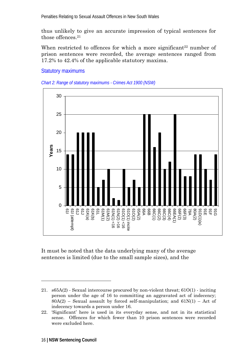thus unlikely to give an accurate impression of typical sentences for those offences.21

When restricted to offences for which a more significant<sup>22</sup> number of prison sentences were recorded, the average sentences ranged from 17.2% to 42.4% of the applicable statutory maxima.

#### Statutory maximums





It must be noted that the data underlying many of the average sentences is limited (due to the small sample sizes), and the

 $\overline{a}$ 

<sup>21.</sup> s65A(2) - Sexual intercourse procured by non-violent threat; 61O(1) - inciting person under the age of 16 to committing an aggravated act of indecency;  $80A(2)$  – Sexual assault by forced self-manipulation; and  $61N(1)$  – Act of indecency towards a person under 16.

<sup>22. &#</sup>x27;Significant' here is used in its everyday sense, and not in its statistical sense. Offences for which fewer than 10 prison sentences were recorded were excluded here.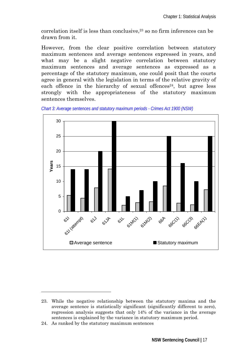$correlation$  itself is less than conclusive, $23$  so no firm inferences can be drawn from it.

However, from the clear positive correlation between statutory maximum sentences and average sentences expressed in years, and what may be a slight negative correlation between statutory maximum sentences and average sentences as expressed as a percentage of the statutory maximum*,* one could posit that the courts agree in general with the legislation in terms of the relative gravity of each offence in the hierarchy of sexual offences<sup>24</sup>, but agree less strongly with the appropriateness of the statutory maximum sentences themselves.





 $\overline{a}$ 

<sup>23.</sup> While the negative relationship between the statutory maxima and the average sentence is statistically significant (significantly different to zero), regression analysis suggests that only 14% of the variance in the average sentences is explained by the variance in statutory maximum period.

<sup>24.</sup> As ranked by the statutory maximum sentences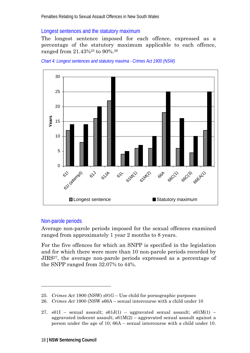#### Longest sentences and the statutory maximum

The longest sentence imposed for each offence, expressed as a percentage of the statutory maximum applicable to each offence, ranged from 21.43%25 to 90%.26





#### Non-parole periods

-

Average non-parole periods imposed for the sexual offences examined ranged from approximately 1 year 2 months to 8 years.

For the five offences for which an SNPP is specified in the legislation and for which there were more than 10 non-parole periods recorded by JIRS27, the average non-parole periods expressed as a percentage of the SNPP ranged from 32.07% to 44%.

<sup>25.</sup> *Crimes Act* 1900 (NSW) s91G – Use child for pornographic purposes

<sup>26.</sup> *Crimes Act* 1900 (NSW s66A – sexual intercourse with a child under 10

<sup>27.</sup>  $\text{1861}$  – sexual assault;  $\text{1861}$  $(1)$  – aggravated sexual assault;  $\text{1861}$  $(1)$  – aggravated indecent assault;  $s61M(2)$  – aggravated sexual assault against a person under the age of 10; 66A – sexual intercourse with a child under 10.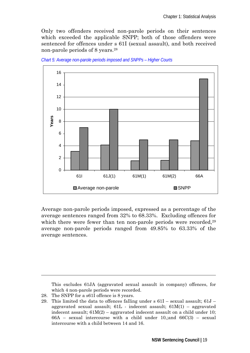Only two offenders received non-parole periods on their sentences which exceeded the applicable SNPP; both of those offenders were sentenced for offences under s 61I (sexual assault), and both received non-parole periods of 8 years.28



*Chart 5: Average non-parole periods imposed and SNPPs – Higher Courts* 

Average non-parole periods imposed, expressed as a percentage of the average sentences ranged from 32% to 68.33%. Excluding offences for which there were fewer than ten non-parole periods were recorded,<sup>29</sup> average non-parole periods ranged from 49.85% to 63.33% of the average sentences.

This excludes 61JA (aggravated sexual assault in company) offences, for which 4 non-parole periods were recorded.

28. The SNPP for a s61I offence is 8 years.

<sup>29.</sup> This limited the data to offences falling under s 61I – sexual assault; 61J – aggravated sexual assault;  $61L$  - indecent assault;  $61M(1)$  – aggravated indecent assault;  $61M(2)$  – aggravated indecent assault on a child under 10;  $66A -$  sexual intercourse with a child under 10,; and  $66C(3) -$  sexual intercourse with a child between 14 and 16.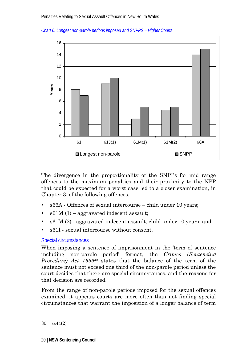



The divergence in the proportionality of the SNPPs for mid range offences to the maximum penalties and their proximity to the NPP that could be expected for a worst case led to a closer examination, in Chapter 3, of the following offences:

- s66A Offences of sexual intercourse child under 10 years;
- $s61M(1)$  aggravated indecent assault:
- s61M (2) aggravated indecent assault, child under 10 years; and
- s61I sexual intercourse without consent.

#### Special circumstances

When imposing a sentence of imprisonment in the 'term of sentence including non-parole period' format, the *Crimes (Sentencing Procedure) Act 1999*30 states that the balance of the term of the sentence must not exceed one third of the non-parole period unless the court decides that there are special circumstances, and the reasons for that decision are recorded.

From the range of non-parole periods imposed for the sexual offences examined, it appears courts are more often than not finding special circumstances that warrant the imposition of a longer balance of term

<sup>30.</sup> ss44(2)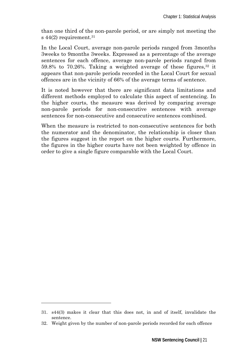than one third of the non-parole period, or are simply not meeting the s  $44(2)$  requirement.<sup>31</sup>

In the Local Court, average non-parole periods ranged from 3months 3weeks to 9months 3weeks. Expressed as a percentage of the average sentences for each offence, average non-parole periods ranged from 59.8% to 70.26%. Taking a weighted average of these figures,  $32$  it appears that non-parole periods recorded in the Local Court for sexual offences are in the vicinity of 66% of the average terms of sentence.

It is noted however that there are significant data limitations and different methods employed to calculate this aspect of sentencing. In the higher courts, the measure was derived by comparing average non-parole periods for non-consecutive sentences with average sentences for non-consecutive and consecutive sentences combined.

When the measure is restricted to non-consecutive sentences for both the numerator and the denominator, the relationship is closer than the figures suggest in the report on the higher courts. Furthermore, the figures in the higher courts have not been weighted by offence in order to give a single figure comparable with the Local Court.

 $\overline{a}$ 

<sup>31.</sup> s44(3) makes it clear that this does not, in and of itself, invalidate the sentence.

<sup>32.</sup> Weight given by the number of non-parole periods recorded for each offence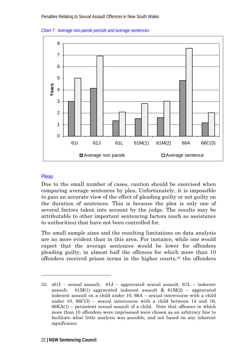



#### **Pleas**

-

Due to the small number of cases, caution should be exercised when comparing average sentences by plea. Unfortunately, it is impossible to gain an accurate view of the effect of pleading guilty or not guilty on the duration of sentences. This is because the plea is only one of several factors taken into account by the judge. The results may be attributable to other important sentencing factors (such as assistance to authorities) that have not been controlled for.

The small sample sizes and the resulting limitations on data analysis are no more evident than in this area. For instance, while one would expect that the average sentences would be lower for offenders pleading guilty, in almost half the offences for which more than 10 offenders received prison terms in the higher courts,33 the offenders

<sup>33.</sup> s61I – sexual assault, 61J – aggravated sexual assault, 61L – indecent assault,  $61M(1)$  aggravated indecent assault &  $61M(2)$  – aggravated indecent assault on a child under 10, 66A – sexual intercourse with a child under 10,  $66C(3)$  – sexual intercourse with a child between 14 and 16,  $66EA(1)$  – persistent sexual assault of a child. Note that offences in which more than 10 offenders were imprisoned were chosen as an arbitrary line to facilitate what little analysis was possible, and not based on any inherent significance.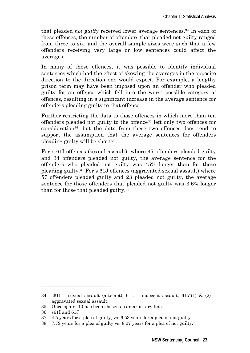that pleaded *not guilty* received lower average sentences.34 In each of these offences, the number of offenders that pleaded not guilty ranged from three to six, and the overall sample sizes were such that a few offenders receiving very large or low sentences could affect the averages.

In many of these offences, it was possible to identify individual sentences which had the effect of skewing the averages in the opposite direction to the direction one would expect. For example, a lengthy prison term may have been imposed upon an offender who pleaded guilty for an offence which fell into the worst possible category of offences, resulting in a significant increase in the average sentence for offenders pleading guilty to that offence.

Further restricting the data to those offences in which more than ten offenders pleaded not guilty to the offence35 left only two offences for consideration36, but the data from these two offences does tend to support the assumption that the average sentences for offenders pleading guilty will be shorter.

For s 61I offences (sexual assault), where 47 offenders pleaded guilty and 34 offenders pleaded not guilty, the average sentence for the offenders who pleaded not guilty was 45% longer than for those pleading guilty.37 For s 61J offences (aggravated sexual assault) where 57 offenders pleaded guilty and 23 pleaded not guilty, the average sentence for those offenders that pleaded not guilty was 3.6% longer than for those that pleaded guilty.38

<sup>34.</sup> s61I – sexual assault (attempt),  $61L$  – indecent assault,  $61M(1)$  & (2) – aggravated sexual assault.

<sup>35.</sup> Once again, 10 has been chosen as an arbitrary line.

<sup>36.</sup> s61I and 61J

<sup>37. 4.5</sup> years for a plea of guilty, vs. 6.53 years for a plea of not guilty.

<sup>38. 7.79</sup> years for a plea of guilty vs. 8.07 years for a plea of not guilty.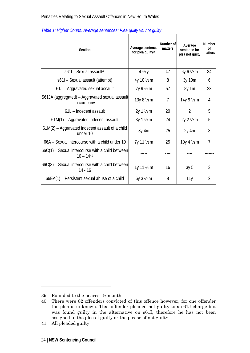| Section                                                           | Average sentence<br>for plea quilty <sup>39</sup> | Number of<br>matters | Average<br>sentence for<br>plea not quilty | Number<br>οf<br>matters |
|-------------------------------------------------------------------|---------------------------------------------------|----------------------|--------------------------------------------|-------------------------|
| s611 - Sexual assault <sup>40</sup>                               | $4\frac{1}{2}y$                                   | 47                   | 6y 6 1/2 m                                 | 34                      |
| s61I - Sexual assault (attempt)                                   | 4y 10 1/2 m                                       | 8                    | 3y 10m                                     | 6                       |
| 61J - Aggravated sexual assault                                   | 7y 9 1/2 m                                        | 57                   | 8y 1m                                      | 23                      |
| S61JA (aggregated) – Aggravated sexual assault<br>in company      | 13y 8 1/2 m                                       | $\overline{7}$       | 14y 9 1/2 m                                | 4                       |
| 61L - Indecent assault                                            | 2y 1 1/2 m                                        | 20                   | $\mathfrak{D}$                             | 5                       |
| 61M(1) - Aggravated indecent assault                              | 3y 1 1/2 m                                        | 24                   | 2y 2 1/2 m                                 | 5                       |
| 61M(2) – Aggravated indecent assault of a child<br>under 10       | $3y$ 4m                                           | 25                   | $2y$ 4m                                    | 3                       |
| 66A - Sexual intercourse with a child under 10                    | 7y 11 1/2 m                                       | 25                   | 10y 4 1/2 m                                | $\overline{7}$          |
| $66C(1)$ – Sexual intercourse with a child between<br>$10 - 1441$ |                                                   |                      |                                            |                         |
| $66C(3)$ – Sexual intercourse with a child between<br>$14 - 16$   | 1y 11 1/2 m                                       | 16                   | 3y <sub>5</sub>                            | 3                       |
| 66EA(1) - Persistent sexual abuse of a child                      | $6y$ 3 $1/2$ m                                    | 8                    | 11y                                        | $\overline{2}$          |

|  |  | Table 1: Higher Courts: Average sentences: Plea guilty vs. not guilty |  |  |
|--|--|-----------------------------------------------------------------------|--|--|
|  |  |                                                                       |  |  |
|  |  |                                                                       |  |  |

<sup>39.</sup> Rounded to the nearest ½ month

<sup>40.</sup> There were 82 offenders convicted of this offence however, for one offender the plea is unknown. That offender pleaded not guilty to a s61J charge but was found guilty in the alternative on s61I, therefore he has not been assigned to the plea of guilty or the please of not guilty.

<sup>41.</sup> All pleaded guilty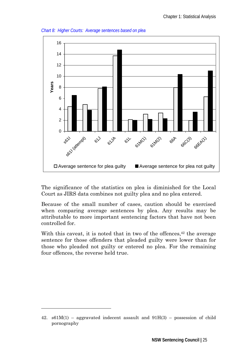

*Chart 8: Higher Courts: Average sentences based on plea* 

The significance of the statistics on plea is diminished for the Local Court as JIRS data combines not guilty plea and no plea entered.

Because of the small number of cases, caution should be exercised when comparing average sentences by plea. Any results may be attributable to more important sentencing factors that have not been controlled for.

With this caveat, it is noted that in two of the offences,  $42$  the average sentence for those offenders that pleaded guilty were lower than for those who pleaded not guilty or entered no plea. For the remaining four offences, the reverse held true.

<sup>42.</sup>  $\text{s61M}(1)$  – aggravated indecent assault and  $91H(3)$  – possession of child pornography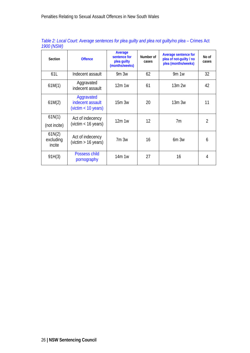| Section                       | <b>Offence</b>                                        | Average<br>sentence for<br>plea quilty<br>(months/weeks) | Number of<br>cases | <b>Average sentence for</b><br>plea of not-quilty / no<br>plea (months/weeks) | No of<br>cases |
|-------------------------------|-------------------------------------------------------|----------------------------------------------------------|--------------------|-------------------------------------------------------------------------------|----------------|
| 61L                           | Indecent assault                                      | 9m3w                                                     | 62                 | 9m 1w                                                                         | 32             |
| 61M(1)                        | Aggravated<br>indecent assault                        | 12m1w                                                    | 61                 | 13m 2w                                                                        | 42             |
| 61M(2)                        | Aggravated<br>indecent assault<br>(victim < 10 years) | 15m.3w                                                   | 20                 | 13m.3w                                                                        | 11             |
| 61N(1)<br>(not incite)        | Act of indecency<br>(victim $<$ 16 years)             | 12m1w                                                    | 12                 | 7 <sub>m</sub>                                                                | $\mathfrak{D}$ |
| 61N(2)<br>excluding<br>incite | Act of indecency<br>(victim $> 16$ years)             | 7m.3w                                                    | 16                 | $6m$ $3w$                                                                     | 6              |
| 91H(3)                        | Possess child<br>pornography                          | 14m 1w                                                   | 27                 | 16                                                                            | 4              |

Table 2: Local Court: Average sentences for plea guilty and plea not guilty/no plea - Crimes Act *1900 (NSW)*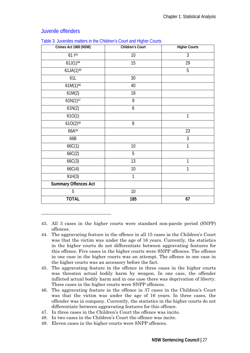| Crimes Act 1900 (NSW)       | <b>Children's Court</b> | <b>Higher Courts</b> |
|-----------------------------|-------------------------|----------------------|
| $611^{43}$                  | 10                      | $\overline{3}$       |
| $61J(1)^{44}$               | 15                      | 29                   |
| $61JA(1)^{45}$              |                         | $\overline{5}$       |
| 61L                         | 30                      |                      |
| $61M(1)^{46}$               | 40                      |                      |
| 61M(2)                      | 18                      |                      |
| $61N(1)^{47}$               | $\overline{9}$          |                      |
| 61N(2)                      | 6                       |                      |
| 610(1)                      |                         | $\overline{1}$       |
| $610(2)^{48}$               | 8                       |                      |
| 66A49                       |                         | 23                   |
| 66B                         |                         | 3                    |
| 66C(1)                      | 10                      | $\mathbf{1}$         |
| 66C(2)                      | 5                       |                      |
| 66C(3)                      | 13                      | $\mathbf{1}$         |
| 66C(4)                      | 10                      | 1                    |
| 91H(3)                      | $\mathbf{1}$            |                      |
| <b>Summary Offences Act</b> |                         |                      |
| 5                           | 10                      |                      |
| <b>TOTAL</b>                | 185                     | 67                   |

#### Juvenile offenders

-

|  | Table 3: Juveniles matters in the Children's Court and Higher Courts |
|--|----------------------------------------------------------------------|
|  |                                                                      |

43. All 3 cases in the higher courts were standard non-parole period (SNPP) offences.

- 44. The aggravating feature in the offence in all 15 cases in the Children's Court was that the victim was under the age of 16 years. Currently, the statistics in the higher courts do not differentiate between aggravating features for this offence. Five cases in the higher courts were SNPP offences. The offence in one case in the higher courts was an attempt. The offence in one case in the higher courts was an accessory before the fact.
- 45. The aggravating feature in the offence in three cases in the higher courts was threaten actual bodily harm by weapon. In one case, the offender inflicted actual bodily harm and in one case there was deprivation of liberty. Three cases in the higher courts were SNPP offences.
- 46. The aggravating feature in the offence in 37 cases in the Children's Court was that the victim was under the age of 16 years. In three cases, the offender was in company. Currently, the statistics in the higher courts do not differentiate between aggravating features for this offence.
- 47. In three cases in the Children's Court the offence was incite.
- 48. In two cases in the Children's Court the offence was incite.
- 49. Eleven cases in the higher courts were SNPP offences.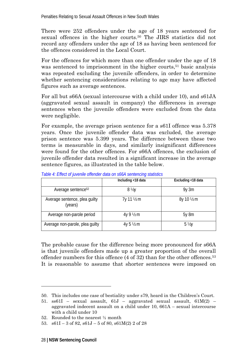There were 252 offenders under the age of 18 years sentenced for sexual offences in the higher courts.<sup>50</sup> The JIRS statistics did not record any offenders under the age of 18 as having been sentenced for the offences considered in the Local Court.

For the offences for which more than one offender under the age of 18 was sentenced to imprisonment in the higher courts,<sup>51</sup> basic analysis was repeated excluding the juvenile offenders, in order to determine whether sentencing considerations relating to age may have affected figures such as average sentences.

For all but s66A (sexual intercourse with a child under 10), and s61JA (aggravated sexual assault in company) the differences in average sentences when the juvenile offenders were excluded from the data were negligible.

For example, the average prison sentence for a s61I offence was 5.378 years. Once the juvenile offender data was excluded, the average prison sentence was 5.399 years. The difference between these two terms is measurable in days, and similarly insignificant differences were found for the other offences. For s66A offences, the exclusion of juvenile offender data resulted in a significant increase in the average sentence figures, as illustrated in the table below.

|                                          | Including <18 data | Excluding <18 data    |
|------------------------------------------|--------------------|-----------------------|
| Average sentence <sup>52</sup>           | $8\frac{V_2}{V_1}$ | $9y$ 3m               |
| Average sentence, plea guilty<br>(years) | 7y 11 ½ m          | $8y 10 \frac{1}{2} m$ |
| Average non-parole period                | 4y 9 1/2 m         | 5y 8m                 |
| Average non-parole, plea guilty          | 4y 5 ½ m           | $5\frac{1}{2}$        |

*Table 4: Effect of juvenile offender data on s66A sentencing statistics* 

The probable cause for the difference being more pronounced for s66A is that juvenile offenders made up a greater proportion of the overall offender numbers for this offence  $(4 \text{ of } 32)$  than for the other offences.<sup>53</sup> It is reasonable to assume that shorter sentences were imposed on

<sup>50.</sup> This includes one case of bestiality under s79, heard in the Children's Court.

<sup>51.</sup> ss61I – sexual assault, 61J – aggravated sexual assault, 61M(2) – aggravated indecent assault on a child under 10, 661A – sexual intercourse with a child under 10

<sup>52.</sup> Rounded to the nearest ½ month

<sup>53.</sup>  $\text{s}61I - 3 \text{ of } 82$ ,  $\text{s}61J - 5 \text{ of } 80$ ,  $\text{s}61M(2)$  2 of 28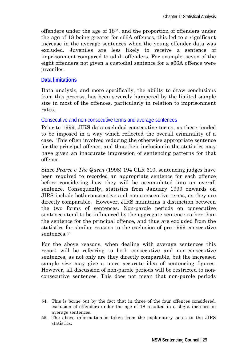offenders under the age of 1854, and the proportion of offenders under the age of 18 being greater for s66A offences, this led to a significant increase in the average sentences when the young offender data was excluded. Juveniles are less likely to receive a sentence of imprisonment compared to adult offenders. For example, seven of the eight offenders not given a custodial sentence for a s66A offence were juveniles.

#### **Data limitations**

 $\overline{a}$ 

Data analysis, and more specifically, the ability to draw conclusions from this process, has been severely hampered by the limited sample size in most of the offences, particularly in relation to imprisonment rates.

#### Consecutive and non-consecutive terms and average sentences

Prior to 1999, JIRS data excluded consecutive terms, as these tended to be imposed in a way which reflected the overall criminality of a case. This often involved reducing the otherwise appropriate sentence for the principal offence, and thus their inclusion in the statistics may have given an inaccurate impression of sentencing patterns for that offence.

Since *Pearce v The Queen* (1998) 194 CLR 610, sentencing judges have been required to recorded an appropriate sentence for each offence before considering how they will be accumulated into an overall sentence. Consequently, statistics from January 1999 onwards on JIRS include both consecutive and non-consecutive terms, as they are directly comparable. However, JIRS maintains a distinction between the two forms of sentences. Non-parole periods on consecutive sentences tend to be influenced by the aggregate sentence rather than the sentence for the principal offence, and thus are excluded from the statistics for similar reasons to the exclusion of pre-1999 consecutive sentences.<sup>55</sup>

For the above reasons, when dealing with average sentences this report will be referring to both consecutive and non-consecutive sentences, as not only are they directly comparable, but the increased sample size may give a more accurate idea of sentencing figures. However, all discussion of non-parole periods will be restricted to nonconsecutive sentences. This does not mean that non-parole periods

<sup>54.</sup> This is borne out by the fact that in three of the four offences considered, exclusion of offenders under the age of 18 resulted in a slight increase in average sentences.

<sup>55.</sup> The above information is taken from the explanatory notes to the JIRS statistics.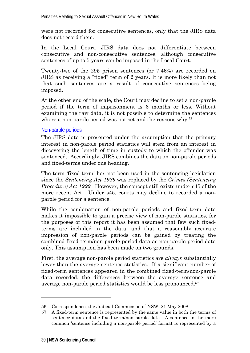were not recorded for consecutive sentences, only that the JIRS data does not record them.

In the Local Court, JIRS data does not differentiate between consecutive and non-consecutive sentences, although consecutive sentences of up to 5 years can be imposed in the Local Court.

Twenty-two of the 295 prison sentences (or 7.46%) are recorded on JIRS as receiving a "fixed" term of 2 years. It is more likely than not that such sentences are a result of consecutive sentences being imposed.

At the other end of the scale, the Court may decline to set a non-parole period if the term of imprisonment is 6 months or less. Without examining the raw data, it is not possible to determine the sentences where a non-parole period was not set and the reasons why.<sup>56</sup>

#### Non-parole periods

The JIRS data is presented under the assumption that the primary interest in non-parole period statistics will stem from an interest in discovering the length of time in custody to which the offender was sentenced. Accordingly, JIRS combines the data on non-parole periods and fixed-terms under one heading.

The term 'fixed-term' has not been used in the sentencing legislation since the *Sentencing Act 1989* was replaced by the *Crimes (Sentencing Procedure) Act 1999.* However, the concept still exists under s45 of the more recent Act. Under s45, courts may decline to recorded a nonparole period for a sentence.

While the combination of non-parole periods and fixed-term data makes it impossible to gain a precise view of non-parole statistics, for the purposes of this report it has been assumed that few such fixedterms are included in the data, and that a reasonably accurate impression of non-parole periods can be gained by treating the combined fixed-term/non-parole period data as non-parole period data only. This assumption has been made on two grounds.

First, the average non-parole period statistics are *always* substantially lower than the average sentence statistics. If a significant number of fixed-term sentences appeared in the combined fixed-term/non-parole data recorded, the differences between the average sentence and average non-parole period statistics would be less pronounced.57

<sup>56.</sup> Correspondence, the Judicial Commission of NSW, 21 May 2008

<sup>57.</sup> A fixed-term sentence is represented by the same value in both the terms of sentence data and the fixed term/non parole data. A sentence in the more common 'sentence including a non-parole period' format is represented by a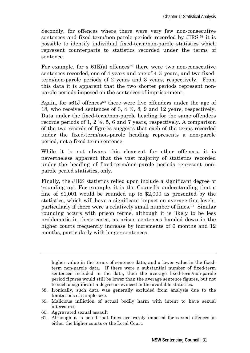Secondly, for offences where there were very few non-consecutive sentences and fixed-term/non-parole periods recorded by JIRS,<sup>58</sup> it is possible to identify individual fixed-term/non-parole statistics which represent counterparts to statistics recorded under the terms of sentence.

For example, for s  $61K(a)$  offences<sup>59</sup> there were two non-consecutive sentences recorded, one of 4 years and one of 4 ½ years, and two fixedterm/non-parole periods of 2 years and 3 years, respectively. From this data it is apparent that the two shorter periods represent nonparole periods imposed on the sentences of imprisonment.

Again, for  $s61J$  offences<sup>60</sup> there were five offenders under the age of 18, who received sentences of 3, 4 ½, 8, 9 and 12 years, respectively. Data under the fixed-term/non-parole heading for the same offenders records periods of 1, 2 ½, 5, 6 and 7 years, respectively. A comparison of the two records of figures suggests that each of the terms recorded under the fixed-term/non-parole heading represents a non-parole period, not a fixed-term sentence.

While it is not always this clear-cut for other offences, it is nevertheless apparent that the vast majority of statistics recorded under the heading of fixed-term/non-parole periods represent nonparole period statistics, only.

Finally, the JIRS statistics relied upon include a significant degree of 'rounding up'. For example, it is the Council's understanding that a fine of \$1,001 would be rounded up to \$2,000 as presented by the statistics, which will have a significant impact on average fine levels, particularly if there were a relatively small number of fines.61 Similar rounding occurs with prison terms, although it is likely to be less problematic in these cases, as prison sentences handed down in the higher courts frequently increase by increments of 6 months and 12 months, particularly with longer sentences.

higher value in the terms of sentence data, and a lower value in the fixedterm non-parole data. If there were a substantial number of fixed-term sentences included in the data, then the average fixed-term/non-parole period figures would still be lower than the average sentence figures, but not to such a significant a degree as evinced in the available statistics.

- 59. Malicious infliction of actual bodily harm with intent to have sexual intercourse
- 60. Aggravated sexual assault

-

61. Although it is noted that fines are rarely imposed for sexual offences in either the higher courts or the Local Court.

<sup>58.</sup> Ironically, such data was generally excluded from analysis due to the limitations of sample size.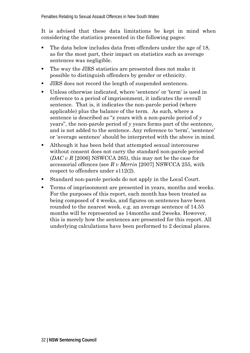It is advised that these data limitations be kept in mind when considering the statistics presented in the following pages:

- The data below includes data from offenders under the age of 18, as for the most part, their impact on statistics such as average sentences was negligible.
- The way the JIRS statistics are presented does not make it possible to distinguish offenders by gender or ethnicity.
- JIRS does not record the length of suspended sentences.
- Unless otherwise indicated, where 'sentence' or 'term' is used in reference to a period of imprisonment, it indicates the overall sentence. That is, it indicates the non-parole period (where applicable) plus the balance of the term. As such, where a sentence is described as "*x* years with a non-parole period of *y*  years", the non-parole period of *y* years forms part of the sentence, and is not added to the sentence. Any reference to 'term', 'sentence' or 'average sentence' should be interpreted with the above in mind.
- Although it has been held that attempted sexual intercourse without consent does not carry the standard non-parole period (*DAC v R* [2006] NSWCCA 265), this may not be the case for accessorial offences (see *R v Merrin* [2007] NSWCCA 255, with respect to offenders under s112(2).
- Standard non-parole periods do not apply in the Local Court.
- Terms of imprisonment are presented in years, months and weeks. For the purposes of this report, each month has been treated as being composed of 4 weeks, and figures on sentences have been rounded to the nearest week. e.g. an average sentence of 14.55 months will be represented as 14months and 2weeks. However, this is merely how the sentences are presented for this report. All underlying calculations have been performed to 2 decimal places.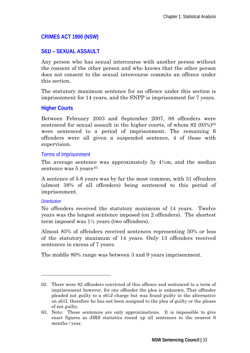#### **CRIMES ACT 1900 (NSW)**

#### **S61I – SEXUAL ASSAULT**

Any person who has sexual intercourse with another person without the consent of the other person and who knows that the other person does not consent to the sexual intercourse commits an offence under this section.

The statutory maximum sentence for an offence under this section is imprisonment for 14 years, and the SNPP is imprisonment for 7 years.

#### **Higher Courts**

Between February 2003 and September 2007, 88 offenders were sentenced for sexual assault in the higher courts, of whom  $82$  ( $93\%$ )<sup>62</sup> were sentenced to a period of imprisonment. The remaining 6 offenders were all given a suspended sentence, 4 of those with supervision.

#### Terms of Imprisonment

The average sentence was approximately 5y  $4\frac{1}{2}$ m, and the median sentence was 5 years.<sup>63</sup>

A sentence of 5-6 years was by far the most common, with 31 offenders (almost 38% of all offenders) being sentenced to this period of imprisonment.

#### *Distribution*

-

No offenders received the statutory maximum of 14 years. Twelve years was the longest sentence imposed (on 2 offenders). The shortest term imposed was 1½ years (two offenders).

Almost 85% of offenders received sentences representing 50% or less of the statutory maximum of 14 years. Only 13 offenders received sentences in excess of 7 years.

The middle 80% range was between 3 and 9 years imprisonment.

<sup>62.</sup> There were 82 offenders convicted of this offence and sentenced to a term of imprisonment however, for one offender the plea is unknown. That offender pleaded not guilty to a s61J charge but was found guilty in the alternative on s61I, therefore he has not been assigned to the plea of guilty or the please of not guilty.

<sup>63.</sup> Note: These sentences are only approximations. It is impossible to give exact figures as JIRS statistics round up all sentences to the nearest 6 months / year.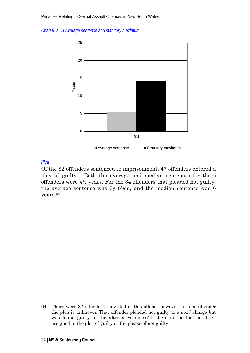*Chart 9: s61I Average sentence and statutory maximum* 



#### *Plea*

-

Of the 82 offenders sentenced to imprisonment, 47 offenders entered a plea of guilty. Both the average and median sentences for these offenders were 4½ years. For the 34 offenders that pleaded not guilty, the average sentence was  $6y\;6\frac{1}{2}m$ , and the median sentence was 6 years.64

<sup>64.</sup> There were 82 offenders convicted of this offence however, for one offender the plea is unknown. That offender pleaded not guilty to a s61J charge but was found guilty in the alternative on s61I, therefore he has not been assigned to the plea of guilty or the please of not guilty.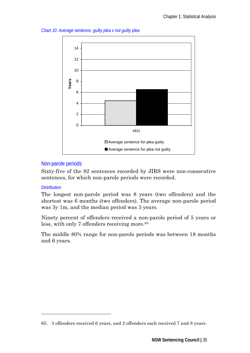*Chart 10: Average sentence, guilty plea v not guilty plea* 



#### Non-parole periods

Sixty-five of the 82 sentences recorded by JIRS were non-consecutive sentences, for which non-parole periods were recorded.

#### *Distribution*

-

The longest non-parole period was 8 years (two offenders) and the shortest was 6 months (two offenders). The average non-parole period was 3y 1m, and the median period was 3 years.

Ninety percent of offenders received a non-parole period of 5 years or less, with only 7 offenders receiving more.<sup>65</sup>

The middle 80% range for non-parole periods was between 18 months and 6 years.

<sup>65. 3</sup> offenders received 6 years, and 2 offenders each received 7 and 8 years.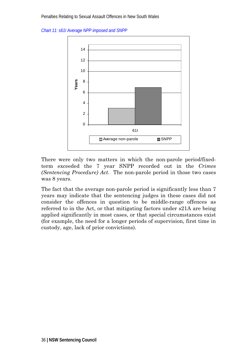*Chart 11: s61I Average NPP imposed and SNPP* 



There were only two matters in which the non-parole period/fixedterm exceeded the 7 year SNPP recorded out in the *Crimes (Sentencing Procedure) Act*. The non-parole period in those two cases was 8 years.

The fact that the average non-parole period is significantly less than 7 years may indicate that the sentencing judges in these cases did not consider the offences in question to be middle-range offences as referred to in the Act, or that mitigating factors under s21A are being applied significantly in most cases, or that special circumstances exist (for example, the need for a longer periods of supervision, first time in custody, age, lack of prior convictions).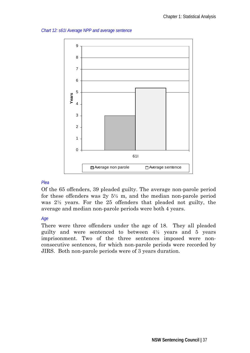*Chart 12: s61I Average NPP and average sentence* 



#### *Plea*

Of the 65 offenders, 39 pleaded guilty. The average non-parole period for these offenders was  $2y\ 5\frac{1}{2}$  m, and the median non-parole period was 2½ years. For the 25 offenders that pleaded not guilty, the average and median non-parole periods were both 4 years.

#### *Age*

There were three offenders under the age of 18. They all pleaded guilty and were sentenced to between 4½ years and 5 years imprisonment. Two of the three sentences imposed were nonconsecutive sentences, for which non-parole periods were recorded by JIRS. Both non-parole periods were of 3 years duration.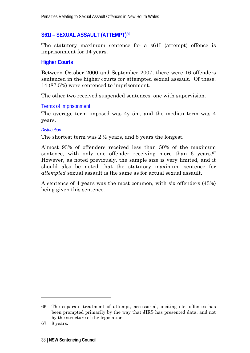# **S61I – SEXUAL ASSAULT (ATTEMPT)66**

The statutory maximum sentence for a s61I (attempt) offence is imprisonment for 14 years.

### **Higher Courts**

Between October 2000 and September 2007, there were 16 offenders sentenced in the higher courts for attempted sexual assault. Of these, 14 (87.5%) were sentenced to imprisonment.

The other two received suspended sentences, one with supervision.

### Terms of Imprisonment

The average term imposed was 4y 5m, and the median term was 4 years.

#### *Distribution*

The shortest term was 2 ½ years, and 8 years the longest.

Almost 93% of offenders received less than 50% of the maximum sentence, with only one offender receiving more than  $6$  years.<sup>67</sup> However, as noted previously, the sample size is very limited, and it should also be noted that the statutory maximum sentence for *attempted* sexual assault is the same as for actual sexual assault.

A sentence of 4 years was the most common, with six offenders (43%) being given this sentence.

-

<sup>66.</sup> The separate treatment of attempt, accessorial, inciting etc. offences has been prompted primarily by the way that JIRS has presented data, and not by the structure of the legislation.

<sup>67. 8</sup> years.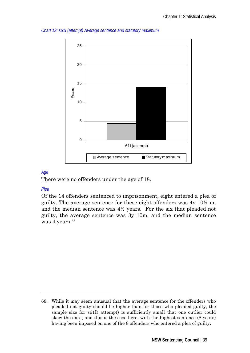

#### *Chart 13: s61I (attempt) Average sentence and statutory maximum*

### *Age*

There were no offenders under the age of 18.

### *Plea*

 $\overline{a}$ 

Of the 14 offenders sentenced to imprisonment, eight entered a plea of guilty. The average sentence for these eight offenders was  $4y \frac{10}{2}$  m, and the median sentence was 4½ years. For the six that pleaded not guilty, the average sentence was 3y 10m, and the median sentence was 4 years.<sup>68</sup>

<sup>68.</sup> While it may seem unusual that the average sentence for the offenders who pleaded not guilty should be higher than for those who pleaded guilty, the sample size for s61I( attempt) is sufficiently small that one outlier could skew the data, and this is the case here, with the highest sentence (8 years) having been imposed on one of the 8 offenders who entered a plea of guilty.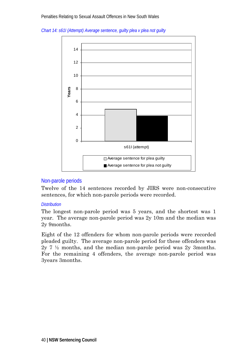

*Chart 14: s61I (Attempt) Average sentence, guilty plea v plea not guilty* 

## Non-parole periods

Twelve of the 14 sentences recorded by JIRS were non-consecutive sentences, for which non-parole periods were recorded.

#### *Distribution*

The longest non-parole period was 5 years, and the shortest was 1 year. The average non-parole period was 2y 10m and the median was 2y 9months.

Eight of the 12 offenders for whom non-parole periods were recorded pleaded guilty. The average non-parole period for these offenders was 2y 7 ½ months, and the median non-parole period was 2y 3months. For the remaining 4 offenders, the average non-parole period was 3years 3months.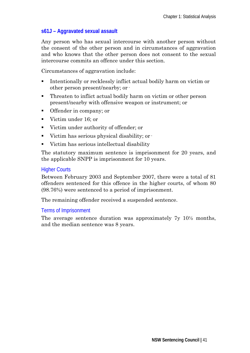## **s61J – Aggravated sexual assault**

Any person who has sexual intercourse with another person without the consent of the other person and in circumstances of aggravation and who knows that the other person does not consent to the sexual intercourse commits an offence under this section.

Circumstances of aggravation include:

- Intentionally or recklessly inflict actual bodily harm on victim or other person present/nearby; or·
- Threaten to inflict actual bodily harm on victim or other person present/nearby with offensive weapon or instrument; or
- Offender in company; or
- Victim under 16; or
- Victim under authority of offender; or
- Victim has serious physical disability; or  $\cdot$
- Victim has serious intellectual disability

The statutory maximum sentence is imprisonment for 20 years, and the applicable SNPP is imprisonment for 10 years.

### **Higher Courts**

Between February 2003 and September 2007, there were a total of 81 offenders sentenced for this offence in the higher courts, of whom 80 (98.76%) were sentenced to a period of imprisonment.

The remaining offender received a suspended sentence.

### Terms of Imprisonment

The average sentence duration was approximately 7y 10½ months, and the median sentence was 8 years.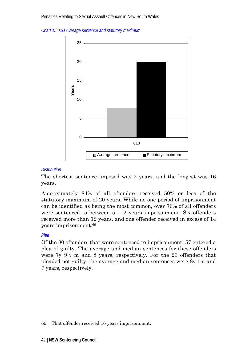*Chart 15: s6J Average sentence and statutory maximum* 



#### *Distribution*

The shortest sentence imposed was 2 years, and the longest was 16 years.

Approximately 84% of all offenders received 50% or less of the statutory maximum of 20 years. While no one period of imprisonment can be identified as being the most common, over 76% of all offenders were sentenced to between  $5 - 12$  years imprisonment. Six offenders received more than 12 years, and one offender received in excess of 14 years imprisonment.69

### *Plea*

-

Of the 80 offenders that were sentenced to imprisonment, 57 entered a plea of guilty. The average and median sentences for these offenders were 7y 9½ m and 8 years, respectively. For the 23 offenders that pleaded not guilty, the average and median sentences were 8y 1m and 7 years, respectively.

<sup>69.</sup> That offender received 16 years imprisonment.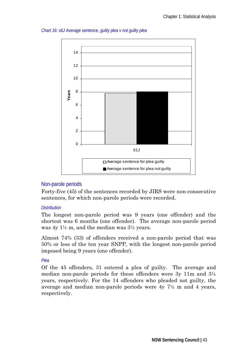



### Non-parole periods

Forty-five (45) of the sentences recorded by JIRS were non-consecutive sentences, for which non-parole periods were recorded.

#### *Distribution*

The longest non-parole period was 9 years (one offender) and the shortest was 6 months (one offender). The average non-parole period was  $4y \frac{1}{2}m$ , and the median was  $3\frac{1}{2}$  years.

Almost 74% (33) of offenders received a non-parole period that was 50% or less of the ten year SNPP, with the longest non-parole period imposed being 9 years (one offender).

### *Plea*

Of the 45 offenders, 31 entered a plea of guilty. The average and median non-parole periods for these offenders were 3y 11m and 3½ years, respectively. For the 14 offenders who pleaded not guilty, the average and median non-parole periods were 4y 7½ m and 4 years, respectively.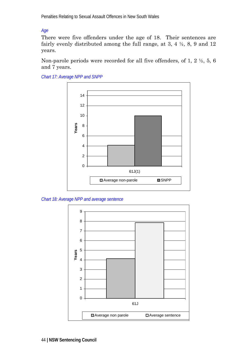*Age* 

There were five offenders under the age of 18. Their sentences are fairly evenly distributed among the full range, at 3, 4 ½, 8, 9 and 12 years.

Non-parole periods were recorded for all five offenders, of 1, 2 ½, 5, 6 and 7 years.



*Chart 17: Average NPP and SNPP* 

*Chart 18: Average NPP and average sentence* 

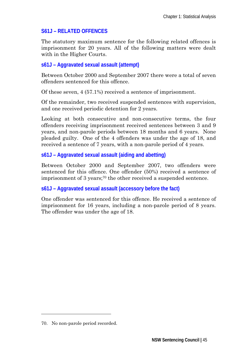# **S61J – RELATED OFFENCES**

The statutory maximum sentence for the following related offences is imprisonment for 20 years. All of the following matters were dealt with in the Higher Courts.

## **s61J – Aggravated sexual assault (attempt)**

Between October 2000 and September 2007 there were a total of seven offenders sentenced for this offence.

Of these seven, 4 (57.1%) received a sentence of imprisonment.

Of the remainder, two received suspended sentences with supervision, and one received periodic detention for 2 years.

Looking at both consecutive and non-consecutive terms, the four offenders receiving imprisonment received sentences between 3 and 9 years, and non-parole periods between 18 months and 6 years. None pleaded guilty. One of the 4 offenders was under the age of 18, and received a sentence of 7 years, with a non-parole period of 4 years.

**s61J – Aggravated sexual assault (aiding and abetting)** 

Between October 2000 and September 2007, two offenders were sentenced for this offence. One offender (50%) received a sentence of imprisonment of 3 years;<sup>70</sup> the other received a suspended sentence.

**s61J – Aggravated sexual assault (accessory before the fact)** 

One offender was sentenced for this offence. He received a sentence of imprisonment for 16 years, including a non-parole period of 8 years. The offender was under the age of 18.

-

<sup>70.</sup> No non-parole period recorded.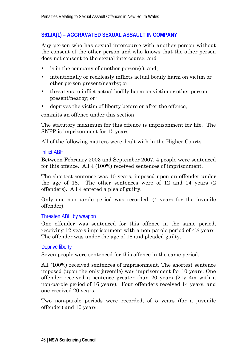## **S61JA(1) – AGGRAVATED SEXUAL ASSAULT IN COMPANY**

Any person who has sexual intercourse with another person without the consent of the other person and who knows that the other person does not consent to the sexual intercourse, and

- is in the company of another person(s), and;
- intentionally or recklessly inflicts actual bodily harm on victim or other person present/nearby; or
- threatens to inflict actual bodily harm on victim or other person present/nearby; or·
- deprives the victim of liberty before or after the offence,

commits an offence under this section.

The statutory maximum for this offence is imprisonment for life. The SNPP is imprisonment for 15 years.

All of the following matters were dealt with in the Higher Courts.

#### Inflict ABH

Between February 2003 and September 2007, 4 people were sentenced for this offence. All 4 (100%) received sentences of imprisonment.

The shortest sentence was 10 years, imposed upon an offender under the age of 18. The other sentences were of 12 and 14 years (2 offenders). All 4 entered a plea of guilty.

Only one non-parole period was recorded, (4 years for the juvenile offender).

### Threaten ABH by weapon

One offender was sentenced for this offence in the same period, receiving 12 years imprisonment with a non-parole period of 4½ years. The offender was under the age of 18 and pleaded guilty.

### Deprive liberty

Seven people were sentenced for this offence in the same period.

All (100%) received sentences of imprisonment. The shortest sentence imposed (upon the only juvenile) was imprisonment for 10 years. One offender received a sentence greater than 20 years (21y 4m with a non-parole period of 16 years). Four offenders received 14 years, and one received 20 years.

Two non-parole periods were recorded, of 5 years (for a juvenile offender) and 10 years.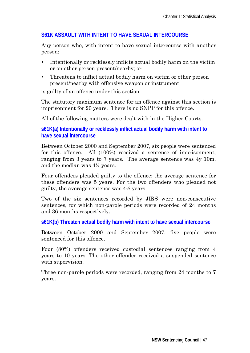## **S61K ASSAULT WITH INTENT TO HAVE SEXUAL INTERCOURSE**

Any person who, with intent to have sexual intercourse with another person:

- Intentionally or recklessly inflicts actual bodily harm on the victim or on other person present/nearby; or
- Threatens to inflict actual bodily harm on victim or other person present/nearby with offensive weapon or instrument

is guilty of an offence under this section.

The statutory maximum sentence for an offence against this section is imprisonment for 20 years. There is no SNPP for this offence.

All of the following matters were dealt with in the Higher Courts.

**s61K(a) Intentionally or recklessly inflict actual bodily harm with intent to have sexual intercourse** 

Between October 2000 and September 2007, six people were sentenced for this offence. All (100%) received a sentence of imprisonment, ranging from 3 years to 7 years. The average sentence was 4y 10m, and the median was 4½ years.

Four offenders pleaded guilty to the offence: the average sentence for these offenders was 5 years. For the two offenders who pleaded not guilty, the average sentence was 4½ years.

Two of the six sentences recorded by JIRS were non-consecutive sentences, for which non-parole periods were recorded of 24 months and 36 months respectively.

**s61K(b) Threaten actual bodily harm with intent to have sexual intercourse** 

Between October 2000 and September 2007, five people were sentenced for this offence.

Four (80%) offenders received custodial sentences ranging from 4 years to 10 years. The other offender received a suspended sentence with supervision.

Three non-parole periods were recorded, ranging from 24 months to 7 years.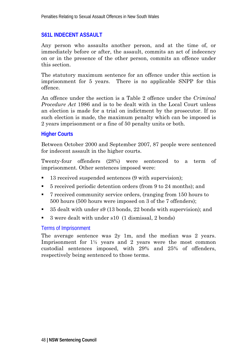## **S61L INDECENT ASSAULT**

Any person who assaults another person, and at the time of, or immediately before or after, the assault, commits an act of indecency on or in the presence of the other person, commits an offence under this section.

The statutory maximum sentence for an offence under this section is imprisonment for 5 years. There is no applicable SNPP for this offence.

An offence under the section is a Table 2 offence under the *Criminal Procedure Act* 1986 and is to be dealt with in the Local Court unless an election is made for a trial on indictment by the prosecutor. If no such election is made, the maximum penalty which can be imposed is 2 years imprisonment or a fine of 50 penalty units or both.

### **Higher Courts**

Between October 2000 and September 2007, 87 people were sentenced for indecent assault in the higher courts.

Twenty-four offenders (28%) were sentenced to a term of imprisonment. Other sentences imposed were:

- 13 received suspended sentences (9 with supervision);
- 5 received periodic detention orders (from 9 to 24 months); and
- 7 received community service orders, (ranging from 150 hours to 500 hours (500 hours were imposed on 3 of the 7 offenders);
- 35 dealt with under s9 (13 bonds, 22 bonds with supervision); and
- 3 were dealt with under s10 (1 dismissal, 2 bonds)

### Terms of Imprisonment

The average sentence was 2y 1m, and the median was 2 years. Imprisonment for 1½ years and 2 years were the most common custodial sentences imposed, with 29% and 25% of offenders, respectively being sentenced to those terms.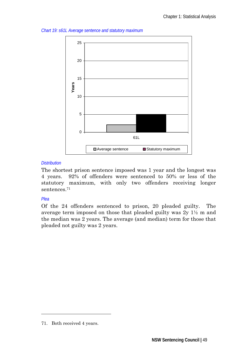*Chart 19: s61L Average sentence and statutory maximum* 



### *Distribution*

The shortest prison sentence imposed was 1 year and the longest was 4 years. 92% of offenders were sentenced to 50% or less of the statutory maximum, with only two offenders receiving longer sentences.71

## *Plea*

-

Of the 24 offenders sentenced to prison, 20 pleaded guilty. The average term imposed on those that pleaded guilty was  $2y \frac{1}{2}m$  and the median was 2 years. The average (and median) term for those that pleaded not guilty was 2 years.

<sup>71.</sup> Both received 4 years.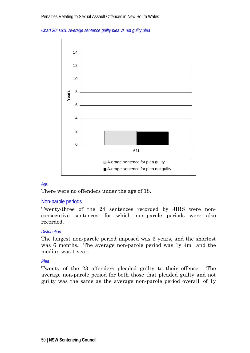



#### *Age*

There were no offenders under the age of 18.

#### Non-parole periods

Twenty-three of the 24 sentences recorded by JIRS were nonconsecutive sentences, for which non-parole periods were also recorded.

#### *Distribution*

The longest non-parole period imposed was 3 years, and the shortest was 6 months. The average non-parole period was 1y 4m and the median was 1 year.

#### *Plea*

Twenty of the 23 offenders pleaded guilty to their offence. The average non-parole period for both those that pleaded guilty and not guilty was the same as the average non-parole period overall, of 1y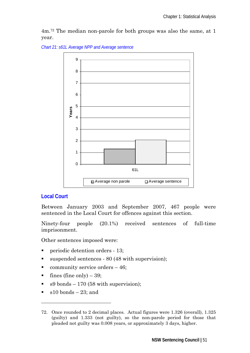4m.72 The median non-parole for both groups was also the same, at 1 year.

*Chart 21: s61L Average NPP and Average sentence* 



## **Local Court**

Between January 2003 and September 2007, 467 people were sentenced in the Local Court for offences against this section.

Ninety-four people (20.1%) received sentences of full-time imprisonment.

Other sentences imposed were:

- **Periodic detention orders 13;**
- suspended sentences 80 (48 with supervision);
- community service orders 46;
- fines (fine only)  $-39$ ;
- s9 bonds 170 (58 with supervision);
- $\blacksquare$  s10 bonds 23; and

 $\overline{a}$ 

<sup>72.</sup> Once rounded to 2 decimal places. Actual figures were 1.326 (overall), 1.325 (guilty) and 1.333 (not guilty), so the non-parole period for those that pleaded not guilty was 0.008 years, or approximately 3 days, higher.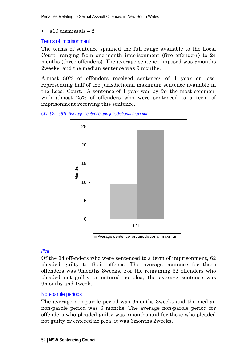Penalties Relating to Sexual Assault Offences in New South Wales

s10 dismissals – 2

### Terms of imprisonment

The terms of sentence spanned the full range available to the Local Court, ranging from one-month imprisonment (five offenders) to 24 months (three offenders). The average sentence imposed was 9months 2weeks, and the median sentence was 9 months.

Almost 80% of offenders received sentences of 1 year or less, representing half of the jurisdictional maximum sentence available in the Local Court. A sentence of 1 year was by far the most common, with almost 25% of offenders who were sentenced to a term of imprisonment receiving this sentence.





#### *Plea*

Of the 94 offenders who were sentenced to a term of imprisonment, 62 pleaded guilty to their offence. The average sentence for these offenders was 9months 3weeks. For the remaining 32 offenders who pleaded not guilty or entered no plea, the average sentence was 9months and 1week.

### Non-parole periods

The average non-parole period was 6months 3weeks and the median non-parole period was 6 months. The average non-parole period for offenders who pleaded guilty was 7months and for those who pleaded not guilty or entered no plea, it was 6months 2weeks.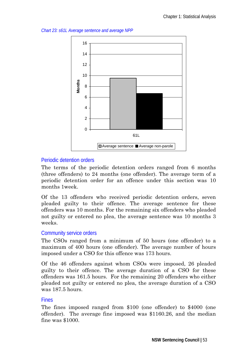*Chart 23: s61L Average sentence and average NPP* 



### Periodic detention orders

The terms of the periodic detention orders ranged from 6 months (three offenders) to 24 months (one offender). The average term of a periodic detention order for an offence under this section was 10 months 1week.

Of the 13 offenders who received periodic detention orders, seven pleaded guilty to their offence. The average sentence for these offenders was 10 months. For the remaining six offenders who pleaded not guilty or entered no plea, the average sentence was 10 months 3 weeks.

## Community service orders

The CSOs ranged from a minimum of 50 hours (one offender) to a maximum of 400 hours (one offender). The average number of hours imposed under a CSO for this offence was 173 hours.

Of the 46 offenders against whom CSOs were imposed, 26 pleaded guilty to their offence. The average duration of a CSO for these offenders was 161.5 hours. For the remaining 20 offenders who either pleaded not guilty or entered no plea, the average duration of a CSO was 187.5 hours.

### Fines

The fines imposed ranged from \$100 (one offender) to \$4000 (one offender). The average fine imposed was \$1160.26, and the median fine was \$1000.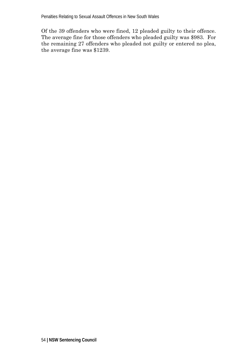Of the 39 offenders who were fined, 12 pleaded guilty to their offence. The average fine for those offenders who pleaded guilty was \$983. For the remaining 27 offenders who pleaded not guilty or entered no plea, the average fine was \$1239.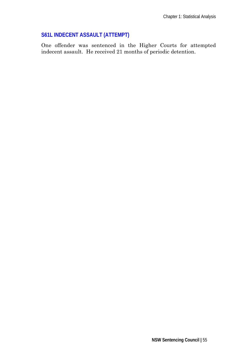## **S61L INDECENT ASSAULT (ATTEMPT)**

One offender was sentenced in the Higher Courts for attempted indecent assault. He received 21 months of periodic detention.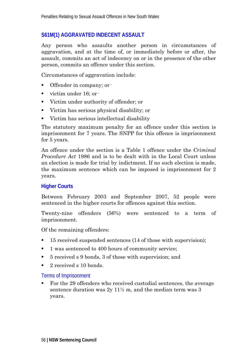## **S61M(1) AGGRAVATED INDECENT ASSAULT**

Any person who assaults another person in circumstances of aggravation, and at the time of, or immediately before or after, the assault, commits an act of indecency on or in the presence of the other person, commits an offence under this section.

Circumstances of aggravation include:

- $\blacksquare$  Offender in company; or  $\blacksquare$
- victim under  $16$ ; or  $\cdot$
- Victim under authority of offender; or
- Victim has serious physical disability; or
- Victim has serious intellectual disability

The statutory maximum penalty for an offence under this section is imprisonment for 7 years. The SNPP for this offence is imprisonment for 5 years.

An offence under the section is a Table 1 offence under the *Criminal Procedure Act* 1986 and is to be dealt with in the Local Court unless an election is made for trial by indictment. If no such election is made, the maximum sentence which can be imposed is imprisonment for 2 years.

## **Higher Courts**

Between February 2003 and September 2007, 52 people were sentenced in the higher courts for offences against this section.

Twenty-nine offenders (56%) were sentenced to a term of imprisonment.

Of the remaining offenders:

- 15 received suspended sentences (14 of those with supervision);
- 1 was sentenced to 400 hours of community service;
- 5 received s 9 bonds, 3 of those with supervision; and
- 2 received s 10 bonds.

### Terms of Imprisonment

 For the 29 offenders who received custodial sentences, the average sentence duration was  $2y$  11 $\frac{1}{2}$  m, and the median term was 3 years.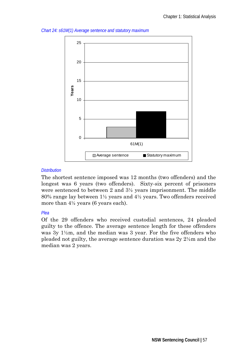



#### *Distribution*

The shortest sentence imposed was 12 months (two offenders) and the longest was 6 years (two offenders). Sixty-six percent of prisoners were sentenced to between 2 and 3½ years imprisonment. The middle 80% range lay between 1½ years and 4½ years. Two offenders received more than 4½ years (6 years each).

### *Plea*

Of the 29 offenders who received custodial sentences, 24 pleaded guilty to the offence. The average sentence length for these offenders was 3y 1½m, and the median was 3 year. For the five offenders who pleaded not guilty, the average sentence duration was 2y 2½m and the median was 2 years.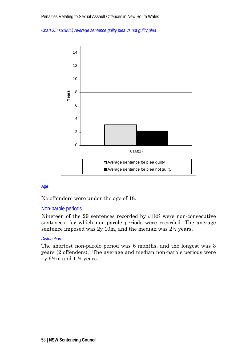



#### *Age*

No offenders were under the age of 18.

#### Non-parole periods

Nineteen of the 29 sentences recorded by JIRS were non-consecutive sentences, for which non-parole periods were recorded. The average sentence imposed was 2y 10m, and the median was 2½ years.

#### *Distribution*

The shortest non-parole period was 6 months, and the longest was 3 years (2 offenders). The average and median non-parole periods were ly  $6\frac{1}{2}$  m and  $1\frac{1}{2}$  years.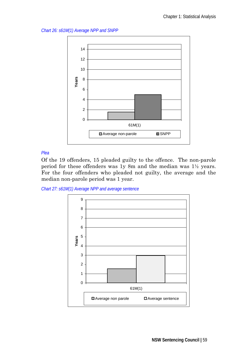*Chart 26: s61M(1) Average NPP and SNPP* 



*Plea* 

Of the 19 offenders, 15 pleaded guilty to the offence. The non-parole period for these offenders was 1y 8m and the median was 1½ years. For the four offenders who pleaded not guilty, the average and the median non-parole period was 1 year.



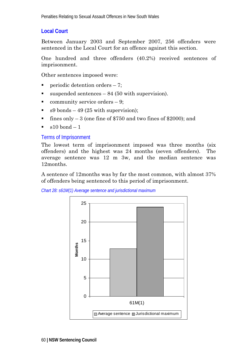# **Local Court**

Between January 2003 and September 2007, 256 offenders were sentenced in the Local Court for an offence against this section.

One hundred and three offenders (40.2%) received sentences of imprisonment.

Other sentences imposed were:

- **•** periodic detention orders  $-7$ ;
- suspended sentences  $-84(50 \text{ with supervision})$ .
- community service orders  $-9$ ;
- $\approx$  s9 bonds 49 (25 with supervision):
- fines only  $-3$  (one fine of \$750 and two fines of \$2000); and
- $\bullet$  s10 bond 1

## Terms of Imprisonment

The lowest term of imprisonment imposed was three months (six offenders) and the highest was 24 months (seven offenders). The average sentence was 12 m 3w, and the median sentence was 12months.

A sentence of 12months was by far the most common, with almost 37% of offenders being sentenced to this period of imprisonment.

*Chart 28: s61M(1) Average sentence and jurisdictional maximum* 

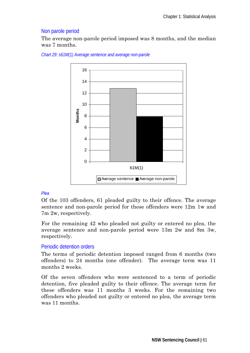## Non parole period

The average non-parole period imposed was 8 months, and the median was 7 months.



*Chart 29: s61M(1) Average sentence and average non-parole* 

### *Plea*

Of the 103 offenders, 61 pleaded guilty to their offence. The average sentence and non-parole period for these offenders were 12m 1w and 7m 2w, respectively.

For the remaining 42 who pleaded not guilty or entered no plea, the average sentence and non-parole period were 13m 2w and 8m 3w, respectively.

## Periodic detention orders

The terms of periodic detention imposed ranged from 6 months (two offenders) to 24 months (one offender). The average term was 11 months 2 weeks.

Of the seven offenders who were sentenced to a term of periodic detention, five pleaded guilty to their offence. The average term for these offenders was 11 months 3 weeks. For the remaining two offenders who pleaded not guilty or entered no plea, the average term was 11 months.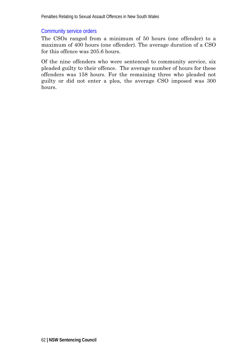## Community service orders

The CSOs ranged from a minimum of 50 hours (one offender) to a maximum of 400 hours (one offender). The average duration of a CSO for this offence was 205.6 hours.

Of the nine offenders who were sentenced to community service, six pleaded guilty to their offence. The average number of hours for these offenders was 158 hours. For the remaining three who pleaded not guilty or did not enter a plea, the average CSO imposed was 300 hours.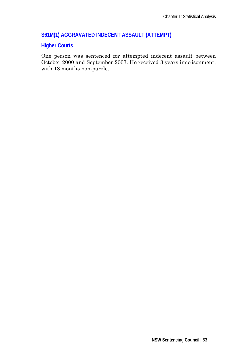## **S61M(1) AGGRAVATED INDECENT ASSAULT (ATTEMPT)**

## **Higher Courts**

One person was sentenced for attempted indecent assault between October 2000 and September 2007. He received 3 years imprisonment, with 18 months non-parole.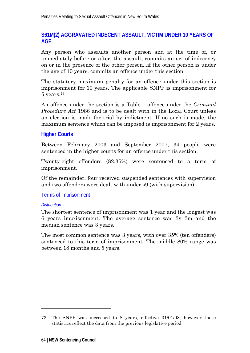# **S61M(2) AGGRAVATED INDECENT ASSAULT, VICTIM UNDER 10 YEARS OF AGE**

Any person who assaults another person and at the time of, or immediately before or after, the assault, commits an act of indecency on or in the presence of the other person...if the other person is under the age of 10 years, commits an offence under this section.

The statutory maximum penalty for an offence under this section is imprisonment for 10 years. The applicable SNPP is imprisonment for  $5$  years.<sup>73</sup>

An offence under the section is a Table 1 offence under the *Criminal Procedure Act* 1986 and is to be dealt with in the Local Court unless an election is made for trial by indictment. If no such is made, the maximum sentence which can be imposed is imprisonment for 2 years.

## **Higher Courts**

Between February 2003 and September 2007, 34 people were sentenced in the higher courts for an offence under this section.

Twenty-eight offenders (82.35%) were sentenced to a term of imprisonment.

Of the remainder, four received suspended sentences with supervision and two offenders were dealt with under s9 (with supervision).

## Terms of imprisonment

### *Distribution*

-

The shortest sentence of imprisonment was 1 year and the longest was 6 years imprisonment. The average sentence was 3y 3m and the median sentence was 3 years.

The most common sentence was 3 years, with over 35% (ten offenders) sentenced to this term of imprisonment. The middle 80% range was between 18 months and 5 years.

<sup>73.</sup> The SNPP was increased to 8 years, effective 01/01/08, however these statistics reflect the data from the previous legislative period.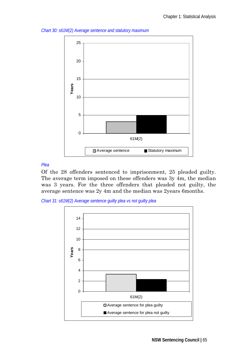



#### *Plea*

Of the 28 offenders sentenced to imprisonment, 25 pleaded guilty. The average term imposed on these offenders was 3y 4m, the median was 3 years. For the three offenders that pleaded not guilty, the average sentence was 2y 4m and the median was 2years 6months.

*Chart 31: s61M(2) Average sentence guilty plea vs not guilty plea* 

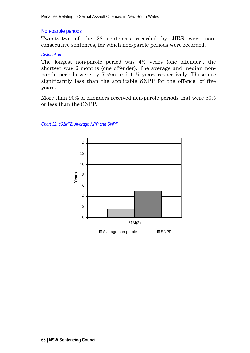## Non-parole periods

Twenty-two of the 28 sentences recorded by JIRS were nonconsecutive sentences, for which non-parole periods were recorded.

#### *Distribution*

The longest non-parole period was 4½ years (one offender), the shortest was 6 months (one offender). The average and median nonparole periods were 1y 7  $\frac{1}{2}$  m and 1  $\frac{1}{2}$  years respectively. These are significantly less than the applicable SNPP for the offence, of five years.

More than 90% of offenders received non-parole periods that were 50% or less than the SNPP.



#### *Chart 32: s61M(2) Average NPP and SNPP*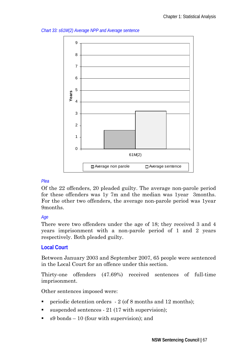*Chart 33: s61M(2) Average NPP and Average sentence* 



### *Plea*

Of the 22 offenders, 20 pleaded guilty. The average non-parole period for these offenders was 1y 7m and the median was 1year 3months. For the other two offenders, the average non-parole period was 1year 9months.

### *Age*

There were two offenders under the age of 18; they received 3 and 4 years imprisonment with a non-parole period of 1 and 2 years respectively. Both pleaded guilty.

## **Local Court**

Between January 2003 and September 2007, 65 people were sentenced in the Local Court for an offence under this section.

Thirty-one offenders (47.69%) received sentences of full-time imprisonment.

Other sentences imposed were:

- periodic detention orders  $-2$  (of 8 months and 12 months);
- suspended sentences 21 (17 with supervision);
- $\bullet$  s9 bonds 10 (four with supervision); and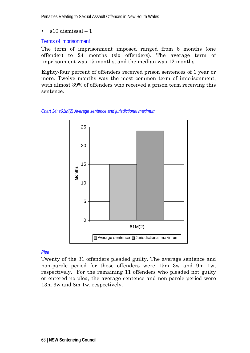Penalties Relating to Sexual Assault Offences in New South Wales

 $\approx$  s10 dismissal – 1

### Terms of imprisonment

The term of imprisonment imposed ranged from 6 months (one offender) to 24 months (six offenders). The average term of imprisonment was 15 months, and the median was 12 months.

Eighty-four percent of offenders received prison sentences of 1 year or more. Twelve months was the most common term of imprisonment, with almost 39% of offenders who received a prison term receiving this sentence.





#### *Plea*

Twenty of the 31 offenders pleaded guilty. The average sentence and non-parole period for these offenders were 15m 3w and 9m 1w, respectively. For the remaining 11 offenders who pleaded not guilty or entered no plea, the average sentence and non-parole period were 13m 3w and 8m 1w, respectively.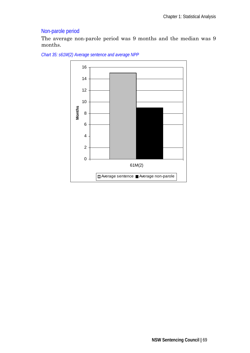# Non-parole period

The average non-parole period was 9 months and the median was 9 months.



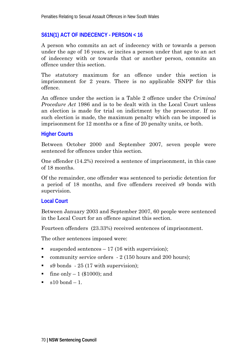### **S61N(1) ACT OF INDECENCY - PERSON < 16**

A person who commits an act of indecency with or towards a person under the age of 16 years, or incites a person under that age to an act of indecency with or towards that or another person, commits an offence under this section.

The statutory maximum for an offence under this section is imprisonment for 2 years. There is no applicable SNPP for this offence.

An offence under the section is a Table 2 offence under the *Criminal Procedure Act* 1986 and is to be dealt with in the Local Court unless an election is made for trial on indictment by the prosecutor. If no such election is made, the maximum penalty which can be imposed is imprisonment for 12 months or a fine of 20 penalty units, or both.

### **Higher Courts**

Between October 2000 and September 2007, seven people were sentenced for offences under this section.

One offender (14.2%) received a sentence of imprisonment, in this case of 18 months.

Of the remainder, one offender was sentenced to periodic detention for a period of 18 months, and five offenders received s9 bonds with supervision.

### **Local Court**

Between January 2003 and September 2007, 60 people were sentenced in the Local Court for an offence against this section.

Fourteen offenders (23.33%) received sentences of imprisonment.

The other sentences imposed were:

- $\blacksquare$  suspended sentences 17 (16 with supervision);
- community service orders  $-2$  (150 hours and 200 hours);
- $\bullet$  s9 bonds  $\cdot$  25 (17 with supervision);
- fine only  $-1$  (\$1000); and
- $\approx$  s10 bond  $-1$ .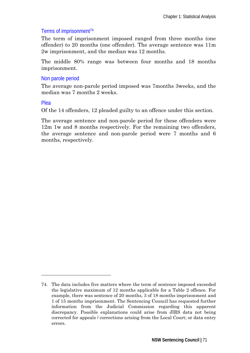## Terms of imprisonment74

The term of imprisonment imposed ranged from three months (one offender) to 20 months (one offender). The average sentence was 11m 2w imprisonment, and the median was 12 months.

The middle 80% range was between four months and 18 months imprisonment.

## Non parole period

The average non-parole period imposed was 7months 3weeks, and the median was 7 months 2 weeks.

### Plea

-

Of the 14 offenders, 12 pleaded guilty to an offence under this section.

The average sentence and non-parole period for these offenders were 12m 1w and 8 months respectively. For the remaining two offenders, the average sentence and non-parole period were 7 months and 6 months, respectively.

<sup>74.</sup> The data includes five matters where the term of sentence imposed exceeded the legislative maximum of 12 months applicable for a Table 2 offence. For example, there was sentence of 20 months, 3 of 18 months imprisonment and 1 of 15 months imprisonment. The Sentencing Council has requested further information from the Judicial Commission regarding this apparent discrepancy. Possible explanations could arise from JIRS data not being corrected for appeals / corrections arising from the Local Court; or data entry errors.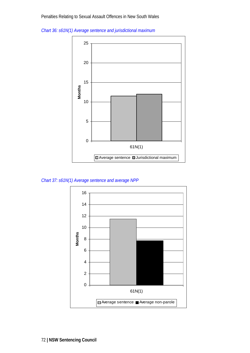



*Chart 37: s61N(1) Average sentence and average NPP* 

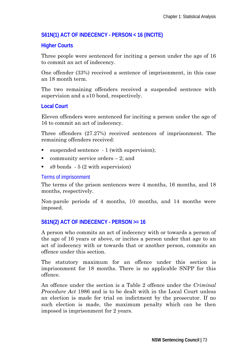# **S61N(1) ACT OF INDECENCY - PERSON < 16 (INCITE)**

# **Higher Courts**

Three people were sentenced for inciting a person under the age of 16 to commit an act of indecency.

One offender (33%) received a sentence of imprisonment, in this case an 18 month term.

The two remaining offenders received a suspended sentence with supervision and a s10 bond, respectively.

# **Local Court**

Eleven offenders were sentenced for inciting a person under the age of 16 to commit an act of indecency.

Three offenders (27.27%) received sentences of imprisonment. The remaining offenders received:

- $\blacksquare$  suspended sentence  $\lightharpoonup$  1 (with supervision);
- community service orders  $-2$ ; and
- $\bullet$  s9 bonds  $\cdot$  5 (2 with supervision)

## Terms of imprisonment

The terms of the prison sentences were 4 months, 16 months, and 18 months, respectively.

Non-parole periods of 4 months, 10 months, and 14 months were imposed.

# **S61N(2) ACT OF INDECENCY - PERSON >= 16**

A person who commits an act of indecency with or towards a person of the age of 16 years or above, or incites a person under that age to an act of indecency with or towards that or another person, commits an offence under this section.

The statutory maximum for an offence under this section is imprisonment for 18 months. There is no applicable SNPP for this offence.

An offence under the section is a Table 2 offence under the *Criminal Procedure Act* 1986 and is to be dealt with in the Local Court unless an election is made for trial on indictment by the prosecutor. If no such election is made, the maximum penalty which can be then imposed is imprisonment for 2 years.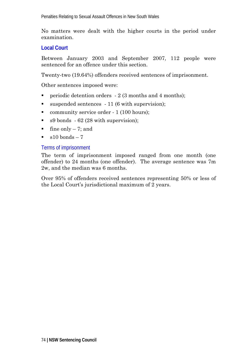No matters were dealt with the higher courts in the period under examination.

# **Local Court**

Between January 2003 and September 2007, 112 people were sentenced for an offence under this section.

Twenty-two (19.64%) offenders received sentences of imprisonment.

Other sentences imposed were:

- periodic detention orders  $-2$  (3 months and 4 months);
- suspended sentences 11 (6 with supervision);
- community service order 1 (100 hours);
- s9 bonds 62 (28 with supervision);
- ine only  $-7$ ; and
- $\sim$  s10 bonds 7

### Terms of imprisonment

The term of imprisonment imposed ranged from one month (one offender) to 24 months (one offender). The average sentence was 7m 2w, and the median was 6 months.

Over 95% of offenders received sentences representing 50% or less of the Local Court's jurisdictional maximum of 2 years.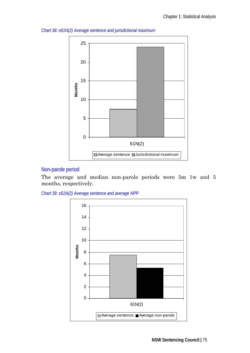

*Chart 38: s61N(2) Average sentence and jurisdictional maximum* 

# Non-parole period

The average and median non-parole periods were 5m 1w and 5 months, respectively.

*Chart 39: s61N(2) Average sentence and average NPP* 

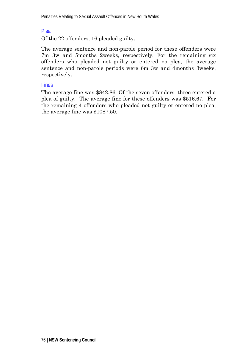# Plea

Of the 22 offenders, 16 pleaded guilty.

The average sentence and non-parole period for these offenders were 7m 3w and 5months 2weeks, respectively. For the remaining six offenders who pleaded not guilty or entered no plea, the average sentence and non-parole periods were 6m 3w and 4months 3weeks, respectively.

# Fines

The average fine was \$842.86. Of the seven offenders, three entered a plea of guilty. The average fine for these offenders was \$516.67. For the remaining 4 offenders who pleaded not guilty or entered no plea, the average fine was \$1087.50.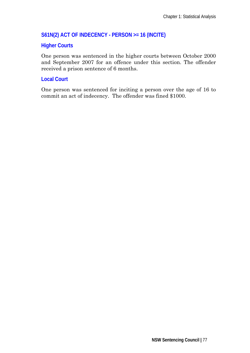# **S61N(2) ACT OF INDECENCY - PERSON >= 16 (INCITE)**

# **Higher Courts**

One person was sentenced in the higher courts between October 2000 and September 2007 for an offence under this section. The offender received a prison sentence of 6 months.

## **Local Court**

One person was sentenced for inciting a person over the age of 16 to commit an act of indecency. The offender was fined \$1000.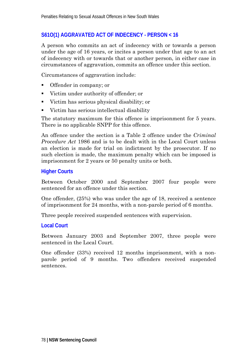# **S61O(1) AGGRAVATED ACT OF INDECENCY - PERSON < 16**

A person who commits an act of indecency with or towards a person under the age of 16 years, or incites a person under that age to an act of indecency with or towards that or another person, in either case in circumstances of aggravation, commits an offence under this section.

Circumstances of aggravation include:

- Offender in company; or
- Victim under authority of offender; or
- Victim has serious physical disability; or
- Victim has serious intellectual disability

The statutory maximum for this offence is imprisonment for 5 years. There is no applicable SNPP for this offence.

An offence under the section is a Table 2 offence under the *Criminal Procedure Act* 1986 and is to be dealt with in the Local Court unless an election is made for trial on indictment by the prosecutor. If no such election is made, the maximum penalty which can be imposed is imprisonment for 2 years or 50 penalty units or both.

### **Higher Courts**

Between October 2000 and September 2007 four people were sentenced for an offence under this section.

One offender, (25%) who was under the age of 18, received a sentence of imprisonment for 24 months, with a non-parole period of 6 months.

Three people received suspended sentences with supervision.

### **Local Court**

Between January 2003 and September 2007, three people were sentenced in the Local Court.

One offender (33%) received 12 months imprisonment, with a nonparole period of 9 months. Two offenders received suspended sentences.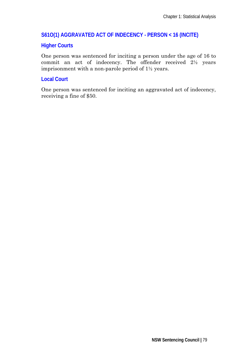# **S61O(1) AGGRAVATED ACT OF INDECENCY - PERSON < 16 (INCITE)**

### **Higher Courts**

One person was sentenced for inciting a person under the age of 16 to commit an act of indecency. The offender received 2½ years imprisonment with a non-parole period of 1½ years.

## **Local Court**

One person was sentenced for inciting an aggravated act of indecency, receiving a fine of \$50.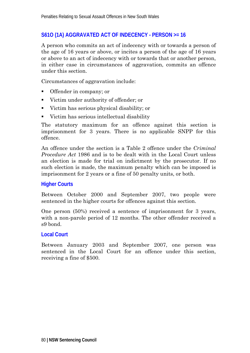# **S61O (1A) AGGRAVATED ACT OF INDECENCY - PERSON >= 16**

A person who commits an act of indecency with or towards a person of the age of 16 years or above, or incites a person of the age of 16 years or above to an act of indecency with or towards that or another person, in either case in circumstances of aggravation, commits an offence under this section.

Circumstances of aggravation include:

- **•** Offender in company; or
- Victim under authority of offender; or
- Victim has serious physical disability; or
- Victim has serious intellectual disability

The statutory maximum for an offence against this section is imprisonment for 3 years. There is no applicable SNPP for this offence.

An offence under the section is a Table 2 offence under the *Criminal Procedure Act* 1986 and is to be dealt with in the Local Court unless an election is made for trial on indictment by the prosecutor. If no such election is made, the maximum penalty which can be imposed is imprisonment for 2 years or a fine of 50 penalty units, or both.

### **Higher Courts**

Between October 2000 and September 2007, two people were sentenced in the higher courts for offences against this section.

One person (50%) received a sentence of imprisonment for 3 years, with a non-parole period of 12 months. The other offender received a s9 bond.

### **Local Court**

Between January 2003 and September 2007, one person was sentenced in the Local Court for an offence under this section, receiving a fine of \$500.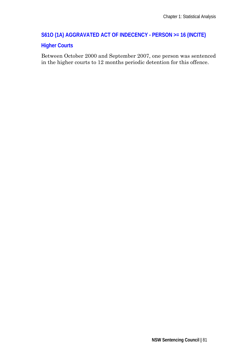# **S61O (1A) AGGRAVATED ACT OF INDECENCY - PERSON >= 16 (INCITE)**

# **Higher Courts**

Between October 2000 and September 2007, one person was sentenced in the higher courts to 12 months periodic detention for this offence.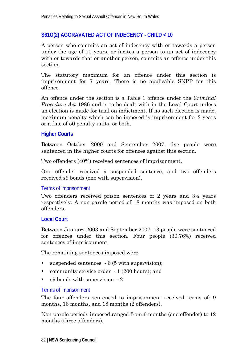# **S61O(2) AGGRAVATED ACT OF INDECENCY - CHILD < 10**

A person who commits an act of indecency with or towards a person under the age of 10 years, or incites a person to an act of indecency with or towards that or another person, commits an offence under this section.

The statutory maximum for an offence under this section is imprisonment for 7 years. There is no applicable SNPP for this offence.

An offence under the section is a Table 1 offence under the *Criminal Procedure Act* 1986 and is to be dealt with in the Local Court unless an election is made for trial on indictment. If no such election is made, maximum penalty which can be imposed is imprisonment for 2 years or a fine of 50 penalty units, or both.

### **Higher Courts**

Between October 2000 and September 2007, five people were sentenced in the higher courts for offences against this section.

Two offenders (40%) received sentences of imprisonment.

One offender received a suspended sentence, and two offenders received s9 bonds (one with supervision).

# Terms of imprisonment

Two offenders received prison sentences of 2 years and 3½ years respectively. A non-parole period of 18 months was imposed on both offenders.

# **Local Court**

Between January 2003 and September 2007, 13 people were sentenced for offences under this section. Four people (30.76%) received sentences of imprisonment.

The remaining sentences imposed were:

- suspended sentences 6 (5 with supervision):
- **•** community service order 1 (200 hours); and
- $\bullet$  s9 bonds with supervision  $-2$

# Terms of imprisonment

The four offenders sentenced to imprisonment received terms of: 9 months, 16 months, and 18 months (2 offenders).

Non-parole periods imposed ranged from 6 months (one offender) to 12 months (three offenders).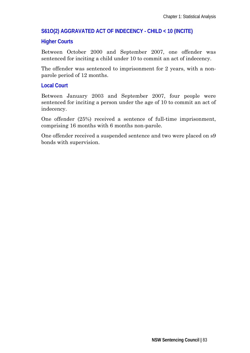# **S61O(2) AGGRAVATED ACT OF INDECENCY - CHILD < 10 (INCITE)**

### **Higher Courts**

Between October 2000 and September 2007, one offender was sentenced for inciting a child under 10 to commit an act of indecency.

The offender was sentenced to imprisonment for 2 years, with a nonparole period of 12 months.

# **Local Court**

Between January 2003 and September 2007, four people were sentenced for inciting a person under the age of 10 to commit an act of indecency.

One offender (25%) received a sentence of full-time imprisonment, comprising 16 months with 6 months non-parole.

One offender received a suspended sentence and two were placed on s9 bonds with supervision.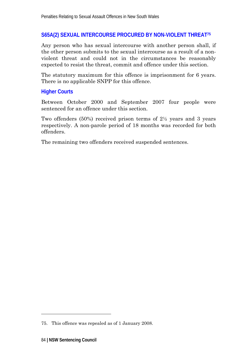# **S65A(2) SEXUAL INTERCOURSE PROCURED BY NON-VIOLENT THREAT75**

Any person who has sexual intercourse with another person shall, if the other person submits to the sexual intercourse as a result of a nonviolent threat and could not in the circumstances be reasonably expected to resist the threat, commit and offence under this section.

The statutory maximum for this offence is imprisonment for 6 years. There is no applicable SNPP for this offence.

# **Higher Courts**

Between October 2000 and September 2007 four people were sentenced for an offence under this section.

Two offenders (50%) received prison terms of 2½ years and 3 years respectively. A non-parole period of 18 months was recorded for both offenders.

The remaining two offenders received suspended sentences.

-

<sup>75.</sup> This offence was repealed as of 1 January 2008.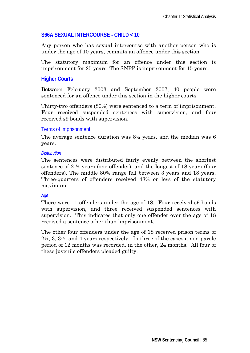# **S66A SEXUAL INTERCOURSE - CHILD < 10**

Any person who has sexual intercourse with another person who is under the age of 10 years, commits an offence under this section.

The statutory maximum for an offence under this section is imprisonment for 25 years. The SNPP is imprisonment for 15 years.

# **Higher Courts**

Between February 2003 and September 2007, 40 people were sentenced for an offence under this section in the higher courts.

Thirty-two offenders (80%) were sentenced to a term of imprisonment. Four received suspended sentences with supervision, and four received s9 bonds with supervision.

# Terms of Imprisonment

The average sentence duration was  $8\frac{1}{2}$  years, and the median was 6 years.

### *Distribution*

The sentences were distributed fairly evenly between the shortest sentence of  $2 \frac{1}{2}$  years (one offender), and the longest of 18 years (four offenders). The middle 80% range fell between 3 years and 18 years. Three-quarters of offenders received 48% or less of the statutory maximum.

### *Age*

There were 11 offenders under the age of 18. Four received s9 bonds with supervision, and three received suspended sentences with supervision. This indicates that only one offender over the age of 18 received a sentence other than imprisonment.

The other four offenders under the age of 18 received prison terms of 2½, 3, 3½, and 4 years respectively. In three of the cases a non-parole period of 12 months was recorded, in the other, 24 months. All four of these juvenile offenders pleaded guilty.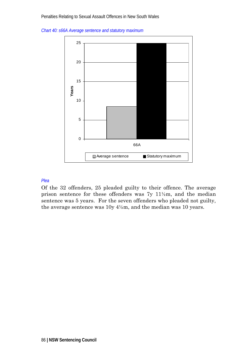*Chart 40: s66A Average sentence and statutory maximum* 



#### *Plea*

Of the 32 offenders, 25 pleaded guilty to their offence. The average prison sentence for these offenders was 7y 11½m, and the median sentence was 5 years. For the seven offenders who pleaded not guilty, the average sentence was  $10y\ 4\frac{1}{2}m$ , and the median was 10 years.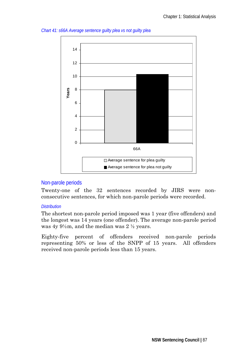

*Chart 41: s66A Average sentence guilty plea vs not guilty plea* 

### Non-parole periods

Twenty-one of the 32 sentences recorded by JIRS were nonconsecutive sentences, for which non-parole periods were recorded.

#### *Distribution*

The shortest non-parole period imposed was 1 year (five offenders) and the longest was 14 years (one offender). The average non-parole period was  $4y 9\frac{1}{2}m$ , and the median was  $2\frac{1}{2}$  years.

Eighty-five percent of offenders received non-parole periods representing 50% or less of the SNPP of 15 years. All offenders received non-parole periods less than 15 years.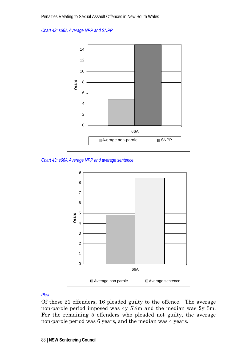*Chart 42: s66A Average NPP and SNPP* 



*Chart 43: s66A Average NPP and average sentence* 



#### *Plea*

Of these 21 offenders, 16 pleaded guilty to the offence. The average non-parole period imposed was 4y 5½m and the median was 2y 3m. For the remaining 5 offenders who pleaded not guilty, the average non-parole period was 6 years, and the median was 4 years.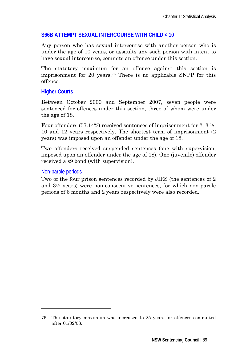# **S66B ATTEMPT SEXUAL INTERCOURSE WITH CHILD < 10**

Any person who has sexual intercourse with another person who is under the age of 10 years, or assaults any such person with intent to have sexual intercourse, commits an offence under this section.

The statutory maximum for an offence against this section is imprisonment for 20 years.76 There is no applicable SNPP for this offence.

# **Higher Courts**

Between October 2000 and September 2007, seven people were sentenced for offences under this section, three of whom were under the age of 18.

Four offenders (57.14%) received sentences of imprisonment for 2,  $3\frac{1}{2}$ , 10 and 12 years respectively. The shortest term of imprisonment (2 years) was imposed upon an offender under the age of 18.

Two offenders received suspended sentences (one with supervision, imposed upon an offender under the age of 18). One (juvenile) offender received a s9 bond (with supervision).

### Non-parole periods

-

Two of the four prison sentences recorded by JIRS (the sentences of 2 and 3½ years) were non-consecutive sentences, for which non-parole periods of 6 months and 2 years respectively were also recorded.

<sup>76.</sup> The statutory maximum was increased to 25 years for offences committed after 01/02/08.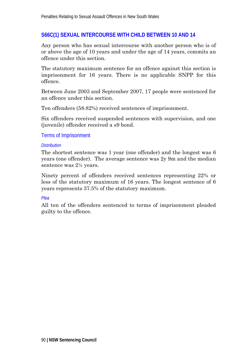# **S66C(1) SEXUAL INTERCOURSE WITH CHILD BETWEEN 10 AND 14**

Any person who has sexual intercourse with another person who is of or above the age of 10 years and under the age of 14 years, commits an offence under this section.

The statutory maximum sentence for an offence against this section is imprisonment for 16 years. There is no applicable SNPP for this offence.

Between June 2003 and September 2007, 17 people were sentenced for an offence under this section.

Ten offenders (58.82%) received sentences of imprisonment.

Six offenders received suspended sentences with supervision, and one (juvenile) offender received a s9 bond.

#### Terms of Imprisonment

#### *Distribution*

The shortest sentence was 1 year (one offender) and the longest was 6 years (one offender). The average sentence was 2y 9m and the median sentence was 2½ years.

Ninety percent of offenders received sentences representing 22% or less of the statutory maximum of 16 years. The longest sentence of 6 years represents 37.5% of the statutory maximum.

#### *Plea*

All ten of the offenders sentenced to terms of imprisonment pleaded guilty to the offence.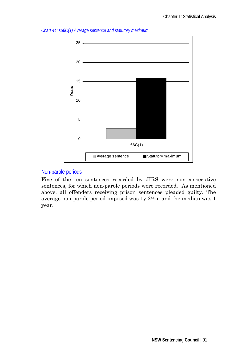

*Chart 44: s66C(1) Average sentence and statutory maximum* 

# Non-parole periods

Five of the ten sentences recorded by JIRS were non-consecutive sentences, for which non-parole periods were recorded. As mentioned above, all offenders receiving prison sentences pleaded guilty. The average non-parole period imposed was 1y 2½m and the median was 1 year.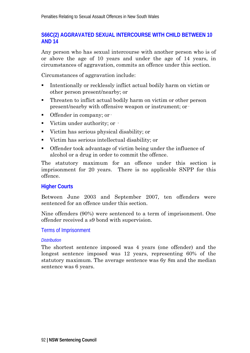# **S66C(2) AGGRAVATED SEXUAL INTERCOURSE WITH CHILD BETWEEN 10 AND 14**

Any person who has sexual intercourse with another person who is of or above the age of 10 years and under the age of 14 years, in circumstances of aggravation, commits an offence under this section.

Circumstances of aggravation include:

- Intentionally or recklessly inflict actual bodily harm on victim or other person present/nearby; or
- Threaten to inflict actual bodily harm on victim or other person present/nearby with offensive weapon or instrument; or·
- $\blacksquare$  Offender in company; or  $\cdot$
- Victim under authority; or  $\cdot$
- Victim has serious physical disability; or
- Victim has serious intellectual disability; or
- Offender took advantage of victim being under the influence of alcohol or a drug in order to commit the offence.

The statutory maximum for an offence under this section is imprisonment for 20 years. There is no applicable SNPP for this offence.

# **Higher Courts**

Between June 2003 and September 2007, ten offenders were sentenced for an offence under this section.

Nine offenders (90%) were sentenced to a term of imprisonment. One offender received a s9 bond with supervision.

### Terms of Imprisonment

#### *Distribution*

The shortest sentence imposed was 4 years (one offender) and the longest sentence imposed was 12 years, representing 60% of the statutory maximum. The average sentence was 6y 8m and the median sentence was 6 years.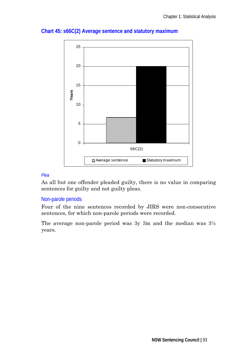

# **Chart 45: s66C(2) Average sentence and statutory maximum**

#### *Plea*

As all but one offender pleaded guilty, there is no value in comparing sentences for guilty and not guilty pleas.

# Non-parole periods

Four of the nine sentences recorded by JIRS were non-consecutive sentences, for which non-parole periods were recorded.

The average non-parole period was 3y 3m and the median was 3½ years.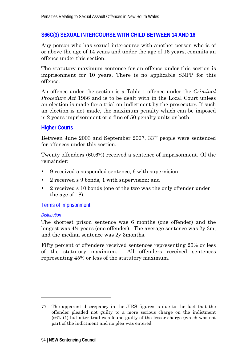## **S66C(3) SEXUAL INTERCOURSE WITH CHILD BETWEEN 14 AND 16**

Any person who has sexual intercourse with another person who is of or above the age of 14 years and under the age of 16 years, commits an offence under this section.

The statutory maximum sentence for an offence under this section is imprisonment for 10 years. There is no applicable SNPP for this offence.

An offence under the section is a Table 1 offence under the *Criminal Procedure Act* 1986 and is to be dealt with in the Local Court unless an election is made for a trial on indictment by the prosecutor. If such an election is not made, the maximum penalty which can be imposed is 2 years imprisonment or a fine of 50 penalty units or both.

### **Higher Courts**

Between June 2003 and September 2007, 3377 people were sentenced for offences under this section.

Twenty offenders (60.6%) received a sentence of imprisonment. Of the remainder:

- 9 received a suspended sentence, 6 with supervision
- 2 received s 9 bonds, 1 with supervision; and
- 2 received s 10 bonds (one of the two was the only offender under the age of 18).

Terms of Imprisonment

#### *Distribution*

-

The shortest prison sentence was 6 months (one offender) and the longest was 4½ years (one offender). The average sentence was 2y 3m, and the median sentence was 2y 3months.

Fifty percent of offenders received sentences representing 20% or less of the statutory maximum. All offenders received sentences representing 45% or less of the statutory maximum.

<sup>77.</sup> The apparent discrepancy in the JIRS figures is due to the fact that the offender pleaded not guilty to a more serious charge on the indictment (s61J(1) but after trial was found guilty of the lesser charge (which was not part of the indictment and no plea was entered.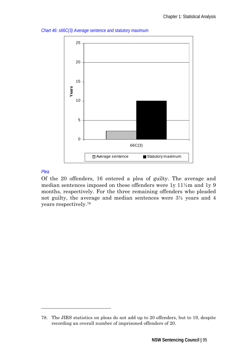

*Chart 46: s66C(3) Average sentence and statutory maximum* 

#### *Plea*

-

Of the 20 offenders, 16 entered a plea of guilty. The average and median sentences imposed on these offenders were 1y 11½m and 1y 9 months, respectively. For the three remaining offenders who pleaded not guilty, the average and median sentences were 3½ years and 4 years respectively.78

<sup>78.</sup> The JIRS statistics on pleas do not add up to 20 offenders, but to 19, despite recording an overall number of imprisoned offenders of 20.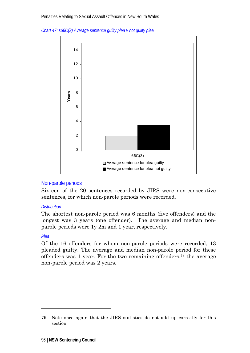



### Non-parole periods

Sixteen of the 20 sentences recorded by JIRS were non-consecutive sentences, for which non-parole periods were recorded.

#### *Distribution*

The shortest non-parole period was 6 months (five offenders) and the longest was 3 years (one offender). The average and median nonparole periods were 1y 2m and 1 year, respectively.

### *Plea*

-

Of the 16 offenders for whom non-parole periods were recorded, 13 pleaded guilty. The average and median non-parole period for these offenders was 1 year. For the two remaining offenders,79 the average non-parole period was 2 years.

<sup>79.</sup> Note once again that the JIRS statistics do not add up correctly for this section.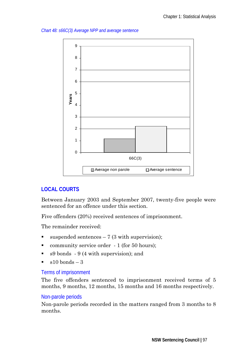*Chart 48: s66C(3) Average NPP and average sentence* 



# **LOCAL COURTS**

Between January 2003 and September 2007, twenty-five people were sentenced for an offence under this section.

Five offenders (20%) received sentences of imprisonment.

The remainder received:

- $\blacksquare$  suspended sentences 7 (3 with supervision);
- community service order 1 (for 50 hours);
- s9 bonds 9 (4 with supervision); and
- $\approx$  s10 bonds 3

### Terms of imprisonment

The five offenders sentenced to imprisonment received terms of 5 months, 9 months, 12 months, 15 months and 16 months respectively.

### Non-parole periods

Non-parole periods recorded in the matters ranged from 3 months to 8 months.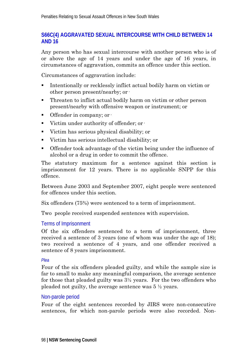# **S66C(4) AGGRAVATED SEXUAL INTERCOURSE WITH CHILD BETWEEN 14 AND 16**

Any person who has sexual intercourse with another person who is of or above the age of 14 years and under the age of 16 years, in circumstances of aggravation, commits an offence under this section.

Circumstances of aggravation include:

- Intentionally or recklessly inflict actual bodily harm on victim or other person present/nearby; or·
- Threaten to inflict actual bodily harm on victim or other person present/nearby with offensive weapon or instrument; or
- $\blacksquare$  Offender in company; or  $\cdot$
- Victim under authority of offender; or ·
- Victim has serious physical disability; or
- Victim has serious intellectual disability; or
- Offender took advantage of the victim being under the influence of alcohol or a drug in order to commit the offence.

The statutory maximum for a sentence against this section is imprisonment for 12 years. There is no applicable SNPP for this offence.

Between June 2003 and September 2007, eight people were sentenced for offences under this section.

Six offenders (75%) were sentenced to a term of imprisonment.

Two people received suspended sentences with supervision.

### Terms of Imprisonment

Of the six offenders sentenced to a term of imprisonment, three received a sentence of 3 years (one of whom was under the age of 18); two received a sentence of 4 years, and one offender received a sentence of 8 years imprisonment.

#### *Plea*

Four of the six offenders pleaded guilty, and while the sample size is far to small to make any meaningful comparison, the average sentence for those that pleaded guilty was 3½ years. For the two offenders who pleaded not guilty, the average sentence was 5 ½ years.

### Non-parole period

Four of the eight sentences recorded by JIRS were non-consecutive sentences, for which non-parole periods were also recorded. Non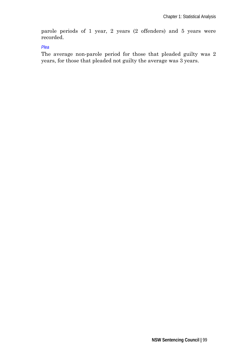parole periods of 1 year, 2 years (2 offenders) and 5 years were recorded.

*Plea* 

The average non-parole period for those that pleaded guilty was 2 years, for those that pleaded not guilty the average was 3 years.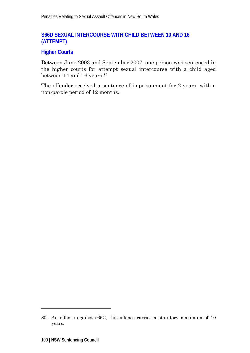# **S66D SEXUAL INTERCOURSE WITH CHILD BETWEEN 10 AND 16 (ATTEMPT)**

# **Higher Courts**

Between June 2003 and September 2007, one person was sentenced in the higher courts for attempt sexual intercourse with a child aged between 14 and 16 years.<sup>80</sup>

The offender received a sentence of imprisonment for 2 years, with a non-parole period of 12 months.

-

<sup>80.</sup> An offence against s66C, this offence carries a statutory maximum of 10 years.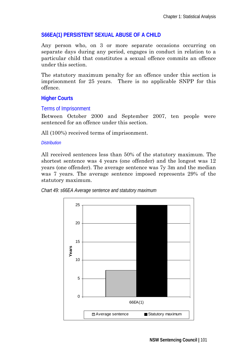# **S66EA(1) PERSISTENT SEXUAL ABUSE OF A CHILD**

Any person who, on 3 or more separate occasions occurring on separate days during any period, engages in conduct in relation to a particular child that constitutes a sexual offence commits an offence under this section.

The statutory maximum penalty for an offence under this section is imprisonment for 25 years. There is no applicable SNPP for this offence.

# **Higher Courts**

### Terms of Imprisonment

Between October 2000 and September 2007, ten people were sentenced for an offence under this section.

All (100%) received terms of imprisonment.

#### *Distribution*

All received sentences less than 50% of the statutory maximum. The shortest sentence was 4 years (one offender) and the longest was 12 years (one offender). The average sentence was 7y 3m and the median was 7 years. The average sentence imposed represents 29% of the statutory maximum.



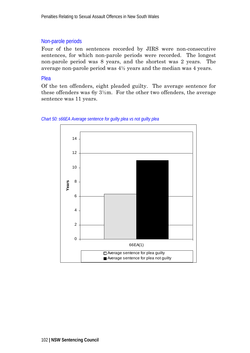### Non-parole periods

Four of the ten sentences recorded by JIRS were non-consecutive sentences, for which non-parole periods were recorded. The longest non-parole period was 8 years, and the shortest was 2 years. The average non-parole period was 4½ years and the median was 4 years.

### Plea

Of the ten offenders, eight pleaded guilty. The average sentence for these offenders was 6y  $3\frac{1}{2}$ m. For the other two offenders, the average sentence was 11 years.



*Chart 50: s66EA Average sentence for guilty plea vs not guilty plea*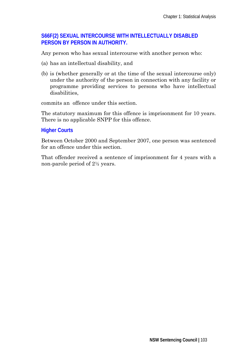# **S66F(2) SEXUAL INTERCOURSE WITH INTELLECTUALLY DISABLED PERSON BY PERSON IN AUTHORITY.**

Any person who has sexual intercourse with another person who:

- (a) has an intellectual disability, and
- (b) is (whether generally or at the time of the sexual intercourse only) under the authority of the person in connection with any facility or programme providing services to persons who have intellectual disabilities,

commits an offence under this section.

The statutory maximum for this offence is imprisonment for 10 years. There is no applicable SNPP for this offence.

### **Higher Courts**

Between October 2000 and September 2007, one person was sentenced for an offence under this section.

That offender received a sentence of imprisonment for 4 years with a non-parole period of 2½ years.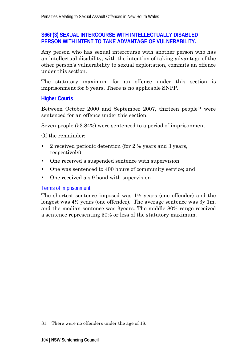# **S66F(3) SEXUAL INTERCOURSE WITH INTELLECTUALLY DISABLED PERSON WITH INTENT TO TAKE ADVANTAGE OF VULNERABILITY.**

Any person who has sexual intercourse with another person who has an intellectual disability, with the intention of taking advantage of the other person's vulnerability to sexual exploitation, commits an offence under this section.

The statutory maximum for an offence under this section is imprisonment for 8 years. There is no applicable SNPP.

# **Higher Courts**

Between October 2000 and September 2007, thirteen people<sup>81</sup> were sentenced for an offence under this section.

Seven people (53.84%) were sentenced to a period of imprisonment.

Of the remainder:

- 2 received periodic detention (for 2 ½ years and 3 years, respectively);
- One received a suspended sentence with supervision
- One was sentenced to 400 hours of community service; and
- One received a s 9 bond with supervision

# Terms of Imprisonment

The shortest sentence imposed was  $1\frac{1}{2}$  years (one offender) and the longest was 4½ years (one offender). The average sentence was 3y 1m, and the median sentence was 3years. The middle 80% range received a sentence representing 50% or less of the statutory maximum.

-

<sup>81.</sup> There were no offenders under the age of 18.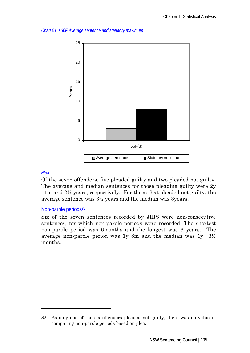*Chart 51: s66F Average sentence and statutory maximum* 



### *Plea*

-

Of the seven offenders, five pleaded guilty and two pleaded not guilty. The average and median sentences for those pleading guilty were 2y 11m and 2½ years, respectively. For those that pleaded not guilty, the average sentence was 3½ years and the median was 3years.

### Non-parole periods<sup>82</sup>

Six of the seven sentences recorded by JIRS were non-consecutive sentences, for which non-parole periods were recorded. The shortest non-parole period was 6months and the longest was 3 years. The average non-parole period was 1y 8m and the median was 1y 3½ months.

<sup>82.</sup> As only one of the six offenders pleaded not guilty, there was no value in comparing non-parole periods based on plea.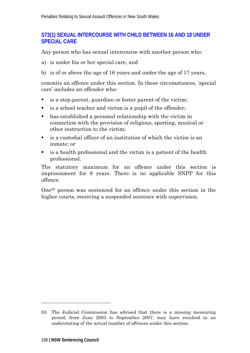# **S73(1) SEXUAL INTERCOURSE WITH CHILD BETWEEN 16 AND 18 UNDER SPECIAL CARE**

Any person who has sexual intercourse with another person who:

- a) is under his or her special care, and
- b) is of or above the age of 16 years and under the age of 17 years,

commits an offence under this section. In these circumstances, 'special care' includes an offender who:

- is a step-parent, guardian or foster parent of the victim;
- is a school teacher and victim is a pupil of the offender;
- has established a personal relationship with the victim in connection with the provision of religious, sporting, musical or other instruction to the victim;
- is a custodial officer of an institution of which the victim is an inmate; or
- is a health professional and the victim is a patient of the health professional.

The statutory maximum for an offence under this section is imprisonment for 8 years. There is no applicable SNPP for this offence.

One83 person was sentenced for an offence under this section in the higher courts, receiving a suspended sentence with supervision.

 $\overline{a}$ 

<sup>83.</sup> The Judicial Commission has advised that there is a missing measuring period, from June 2003 to September 2007, may have resulted in an understating of the actual number of offences under this section.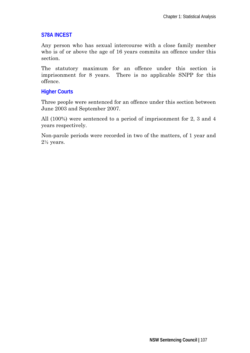### **S78A INCEST**

Any person who has sexual intercourse with a close family member who is of or above the age of 16 years commits an offence under this section.

The statutory maximum for an offence under this section is imprisonment for 8 years. There is no applicable SNPP for this offence.

# **Higher Courts**

Three people were sentenced for an offence under this section between June 2003 and September 2007.

All (100%) were sentenced to a period of imprisonment for 2, 3 and 4 years respectively.

Non-parole periods were recorded in two of the matters, of 1 year and  $2\frac{1}{2}$  years.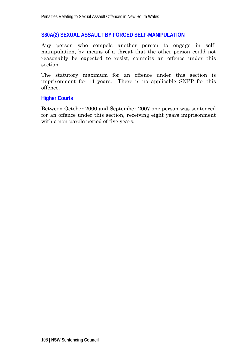## **S80A(2) SEXUAL ASSAULT BY FORCED SELF-MANIPULATION**

Any person who compels another person to engage in selfmanipulation, by means of a threat that the other person could not reasonably be expected to resist, commits an offence under this section.

The statutory maximum for an offence under this section is imprisonment for 14 years. There is no applicable SNPP for this offence.

#### **Higher Courts**

Between October 2000 and September 2007 one person was sentenced for an offence under this section, receiving eight years imprisonment with a non-parole period of five years.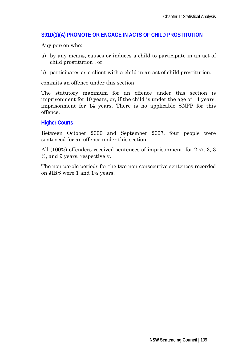## **S91D(1)(A) PROMOTE OR ENGAGE IN ACTS OF CHILD PROSTITUTION**

Any person who:

- a) by any means, causes or induces a child to participate in an act of child prostitution , or
- b) participates as a client with a child in an act of child prostitution,

commits an offence under this section.

The statutory maximum for an offence under this section is imprisonment for 10 years, or, if the child is under the age of 14 years, imprisonment for 14 years. There is no applicable SNPP for this offence.

#### **Higher Courts**

Between October 2000 and September 2007, four people were sentenced for an offence under this section.

All (100%) offenders received sentences of imprisonment, for  $2 \frac{1}{2}$ , 3, 3  $\frac{1}{2}$ , and 9 years, respectively.

The non-parole periods for the two non-consecutive sentences recorded on JIRS were 1 and 1½ years.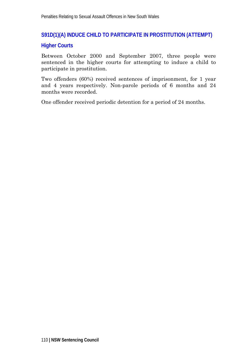## **S91D(1)(A) INDUCE CHILD TO PARTICIPATE IN PROSTITUTION (ATTEMPT)**

#### **Higher Courts**

Between October 2000 and September 2007, three people were sentenced in the higher courts for attempting to induce a child to participate in prostitution.

Two offenders (60%) received sentences of imprisonment, for 1 year and 4 years respectively. Non-parole periods of 6 months and 24 months were recorded.

One offender received periodic detention for a period of 24 months.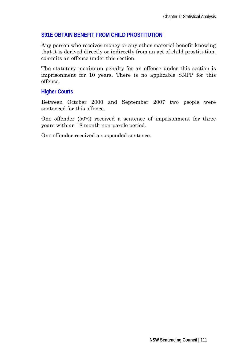## **S91E OBTAIN BENEFIT FROM CHILD PROSTITUTION**

Any person who receives money or any other material benefit knowing that it is derived directly or indirectly from an act of child prostitution, commits an offence under this section.

The statutory maximum penalty for an offence under this section is imprisonment for 10 years. There is no applicable SNPP for this offence.

## **Higher Courts**

Between October 2000 and September 2007 two people were sentenced for this offence.

One offender (50%) received a sentence of imprisonment for three years with an 18 month non-parole period.

One offender received a suspended sentence.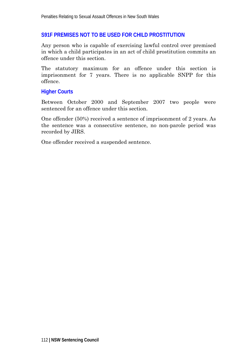#### **S91F PREMISES NOT TO BE USED FOR CHILD PROSTITUTION**

Any person who is capable of exercising lawful control over premised in which a child participates in an act of child prostitution commits an offence under this section.

The statutory maximum for an offence under this section is imprisonment for 7 years. There is no applicable SNPP for this offence.

#### **Higher Courts**

Between October 2000 and September 2007 two people were sentenced for an offence under this section.

One offender (50%) received a sentence of imprisonment of 2 years. As the sentence was a consecutive sentence, no non-parole period was recorded by JIRS.

One offender received a suspended sentence.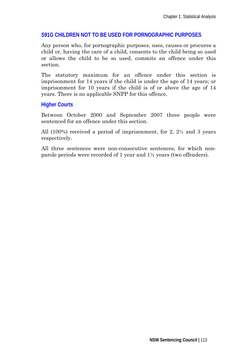## **S91G CHILDREN NOT TO BE USED FOR PORNOGRAPHIC PURPOSES**

Any person who, for pornographic purposes, uses, causes or procures a child or, having the care of a child, consents to the child being so used or allows the child to be so used, commits an offence under this section.

The statutory maximum for an offence under this section is imprisonment for 14 years if the child is under the age of 14 years; or imprisonment for 10 years if the child is of or above the age of 14 years. There is no applicable SNPP for this offence.

#### **Higher Courts**

Between October 2000 and September 2007 three people were sentenced for an offence under this section.

All (100%) received a period of imprisonment, for 2, 2½ and 3 years respectively.

All three sentences were non-consecutive sentences, for which nonparole periods were recorded of 1 year and 1½ years (two offenders).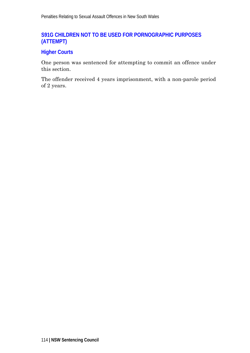## **S91G CHILDREN NOT TO BE USED FOR PORNOGRAPHIC PURPOSES (ATTEMPT)**

## **Higher Courts**

One person was sentenced for attempting to commit an offence under this section.

The offender received 4 years imprisonment, with a non-parole period of 2 years.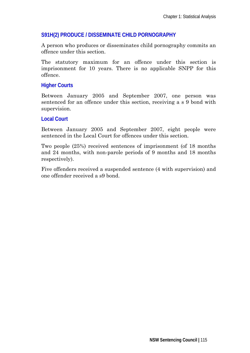## **S91H(2) PRODUCE / DISSEMINATE CHILD PORNOGRAPHY**

A person who produces or disseminates child pornography commits an offence under this section.

The statutory maximum for an offence under this section is imprisonment for 10 years. There is no applicable SNPP for this offence.

## **Higher Courts**

Between January 2005 and September 2007, one person was sentenced for an offence under this section, receiving a s 9 bond with supervision.

#### **Local Court**

Between January 2005 and September 2007, eight people were sentenced in the Local Court for offences under this section.

Two people (25%) received sentences of imprisonment (of 18 months and 24 months, with non-parole periods of 9 months and 18 months respectively).

Five offenders received a suspended sentence (4 with supervision) and one offender received a s9 bond.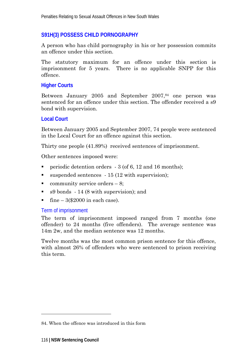## **S91H(3) POSSESS CHILD PORNOGRAPHY**

A person who has child pornography in his or her possession commits an offence under this section.

The statutory maximum for an offence under this section is imprisonment for 5 years. There is no applicable SNPP for this offence.

## **Higher Courts**

Between January 2005 and September 2007,<sup>84</sup> one person was sentenced for an offence under this section. The offender received a s9 bond with supervision.

#### **Local Court**

Between January 2005 and September 2007, 74 people were sentenced in the Local Court for an offence against this section.

Thirty one people (41.89%) received sentences of imprisonment.

Other sentences imposed were:

- periodic detention orders  $-3$  (of 6, 12 and 16 months);
- $\blacksquare$  suspended sentences 15 (12 with supervision);
- community service orders  $-8$ ;
- s9 bonds 14 (8 with supervision); and
- fine  $-3$ (\$2000 in each case).

## Term of imprisonment

The term of imprisonment imposed ranged from 7 months (one offender) to 24 months (five offenders). The average sentence was 14m 2w, and the median sentence was 12 months.

Twelve months was the most common prison sentence for this offence, with almost 26% of offenders who were sentenced to prison receiving this term.

-

<sup>84.</sup> When the offence was introduced in this form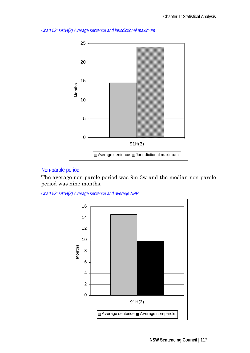

*Chart 52: s91H(3) Average sentence and jurisdictional maximum* 

## Non-parole period

The average non-parole period was 9m 3w and the median non-parole period was nine months.

*Chart 53: s91H(3) Average sentence and average NPP* 

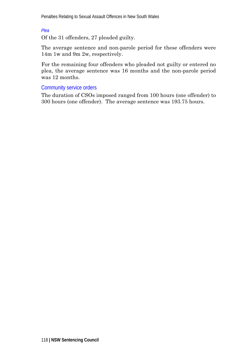*Plea* 

Of the 31 offenders, 27 pleaded guilty.

The average sentence and non-parole period for these offenders were 14m 1w and 9m 2w, respectively.

For the remaining four offenders who pleaded not guilty or entered no plea, the average sentence was 16 months and the non-parole period was 12 months.

Community service orders

The duration of CSOs imposed ranged from 100 hours (one offender) to 300 hours (one offender). The average sentence was 193.75 hours.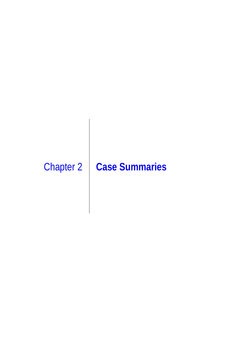# Chapter 2 **Case Summaries**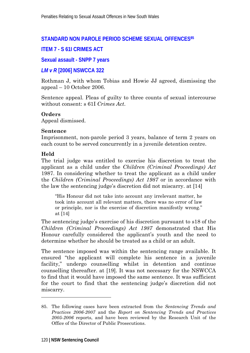## **STANDARD NON PAROLE PERIOD SCHEME SEXUAL OFFENCES85**

## **ITEM 7 - S 61I CRIMES ACT**

#### **Sexual assault - SNPP 7 years**

#### *LM v R* **[2006] NSWCCA 322**

Rothman J, with whom Tobias and Howie JJ agreed, dismissing the appeal – 10 October 2006.

Sentence appeal. Pleas of guilty to three counts of sexual intercourse without consent: s 61I *Crimes Act*.

#### **Orders**

Appeal dismissed.

#### **Sentence**

Imprisonment, non-parole period 3 years, balance of term 2 years on each count to be served concurrently in a juvenile detention centre.

#### **Held**

-

The trial judge was entitled to exercise his discretion to treat the applicant as a child under the *Children (Criminal Proceedings) Act*  1987. In considering whether to treat the applicant as a child under the *Children (Criminal Proceedings) Act 1987* or in accordance with the law the sentencing judge's discretion did not miscarry. at [14]

"His Honour did not take into account any irrelevant matter, he took into account all relevant matters, there was no error of law or principle, nor is the exercise of discretion manifestly wrong." at [14]

The sentencing judge's exercise of his discretion pursuant to s18 of the *Children (Criminal Proceedings) Act 1987* demonstrated that His Honour carefully considered the applicant's youth and the need to determine whether he should be treated as a child or an adult.

The sentence imposed was within the sentencing range available. It ensured "the applicant will complete his sentence in a juvenile facility," undergo counselling whilst in detention and continue counselling thereafter. at [19]. It was not necessary for the NSWCCA to find that it would have imposed the same sentence. It was sufficient for the court to find that the sentencing judge's discretion did not miscarry.

<sup>85.</sup> The following cases have been extracted from the *Sentencing Trends and Practices 2006-2007* and the *Report on Sentencing Trends and Practices 2005-2006* reports, and have been reviewed by the Research Unit of the Office of the Director of Public Prosecutions.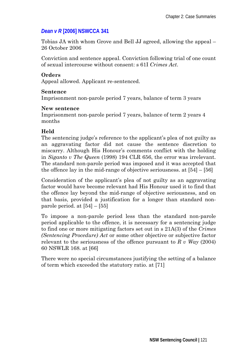# *Dean v R* **[2006] NSWCCA 341**

Tobias JA with whom Grove and Bell JJ agreed, allowing the appeal – 26 October 2006

Conviction and sentence appeal. Conviction following trial of one count of sexual intercourse without consent: s 61I *Crimes Act*.

## **Orders**

Appeal allowed. Applicant re-sentenced.

#### **Sentence**

Imprisonment non-parole period 7 years, balance of term 3 years

#### **New sentence**

Imprisonment non-parole period 7 years, balance of term 2 years 4 months

## **Held**

The sentencing judge's reference to the applicant's plea of not guilty as an aggravating factor did not cause the sentence discretion to miscarry. Although His Honour's comments conflict with the holding in *Siganto v The Queen* (1998) 194 CLR 656, the error was irrelevant. The standard non-parole period was imposed and it was accepted that the offence lay in the mid-range of objective seriousness. at [54] – [56]

Consideration of the applicant's plea of not guilty as an aggravating factor would have become relevant had His Honour used it to find that the offence lay beyond the mid-range of objective seriousness, and on that basis, provided a justification for a longer than standard nonparole period. at  $[54] - [55]$ 

To impose a non-parole period less than the standard non-parole period applicable to the offence, it is necessary for a sentencing judge to find one or more mitigating factors set out in s 21A(3) of the *Crimes (Sentencing Procedure) Act* or some other objective or subjective factor relevant to the seriousness of the offence pursuant to *R v Way* (2004) 60 NSWLR 168. at [66]

There were no special circumstances justifying the setting of a balance of term which exceeded the statutory ratio. at [71]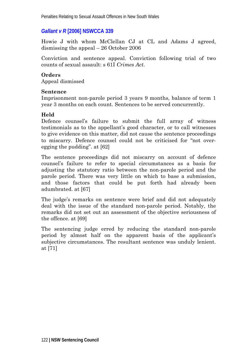## *Gallant v R* **[2006] NSWCCA 339**

Howie J with whom McClellan CJ at CL and Adams J agreed, dismissing the appeal – 26 October 2006

Conviction and sentence appeal. Conviction following trial of two counts of sexual assault: s 61I *Crimes Act*.

#### **Orders**

Appeal dismissed

#### **Sentence**

Imprisonment non-parole period 3 years 9 months, balance of term 1 year 3 months on each count. Sentences to be served concurrently.

## **Held**

Defence counsel's failure to submit the full array of witness testimonials as to the appellant's good character, or to call witnesses to give evidence on this matter, did not cause the sentence proceedings to miscarry. Defence counsel could not be criticised for "not overegging the pudding". at [62]

The sentence proceedings did not miscarry on account of defence counsel's failure to refer to special circumstances as a basis for adjusting the statutory ratio between the non-parole period and the parole period. There was very little on which to base a submission, and those factors that could be put forth had already been adumbrated. at [67]

The judge's remarks on sentence were brief and did not adequately deal with the issue of the standard non-parole period. Notably, the remarks did not set out an assessment of the objective seriousness of the offence. at [69]

The sentencing judge erred by reducing the standard non-parole period by almost half on the apparent basis of the applicant's subjective circumstances. The resultant sentence was unduly lenient. at [71]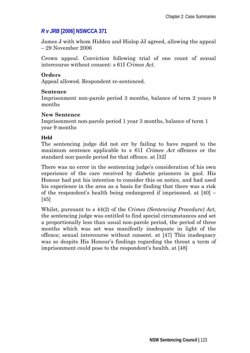# *R v JRB* **[2006] NSWCCA 371**

James J with whom Hidden and Hislop JJ agreed, allowing the appeal – 29 November 2006

Crown appeal. Conviction following trial of one count of sexual intercourse without consent: s 61I *Crimes Act*.

## **Orders**

Appeal allowed. Respondent re-sentenced.

## **Sentence**

Imprisonment non-parole period 3 months, balance of term 2 years 9 months

## **New Sentence**

Imprisonment non-parole period 1 year 3 months, balance of term 1 year 9 months

## **Held**

The sentencing judge did not err by failing to have regard to the maximum sentence applicable to s 61I Crimes Act offences or the standard non-parole period for that offence. at [32]

There was no error in the sentencing judge's consideration of his own experience of the care received by diabetic prisoners in gaol. His Honour had put his intention to consider this on notice, and had used his experience in the area as a basis for finding that there was a risk of the respondent's health being endangered if imprisoned. at  $[40]$  – [45]

Whilst, pursuant to s 44(2) of the *Crimes (Sentencing Procedure) Act,* the sentencing judge was entitled to find special circumstances and set a proportionally less than usual non-parole period, the period of three months which was set was manifestly inadequate in light of the offence; sexual intercourse without consent. at [47] This inadequacy was so despite His Honour's findings regarding the threat a term of imprisonment could pose to the respondent's health. at [48]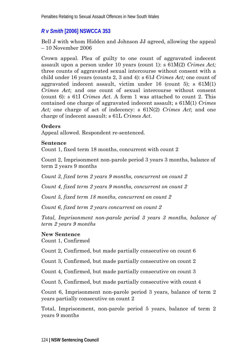# *R v Smith* **[2006] NSWCCA 353**

Bell J with whom Hidden and Johnson JJ agreed, allowing the appeal – 10 November 2006

Crown appeal. Plea of guilty to one count of aggravated indecent assault upon a person under 10 years (count 1): s 61M(2) *Crimes Act;*  three counts of aggravated sexual intercourse without consent with a child under 16 years (counts 2, 3 and 4): s 61J *Crimes Act;* one count of aggravated indecent assault, victim under  $16$  (count 5); s  $61M(1)$ *Crimes Act*; and one count of sexual intercourse without consent (count 6): s 61I *Crimes Act*. A form 1 was attached to count 2. This contained one charge of aggravated indecent assault; s 61M(1) *Crimes Act;* one charge of act of indecency: s 61N(2) *Crimes Act*; and one charge of indecent assault: s 61L *Crimes Act*.

## **Orders**

Appeal allowed. Respondent re-sentenced.

#### **Sentence**

Count 1, fixed term 18 months, concurrent with count 2

Count 2, Imprisonment non-parole period 3 years 3 months, balance of term 2 years 9 months

*Count 3, fixed term 2 years 9 months, concurrent on count 2* 

*Count 4, fixed term 2 years 9 months, concurrent on count 2* 

*Count 5, fixed term 18 months, concurrent on count 2* 

*Count 6, fixed term 2 years concurrent on count 2* 

*Total, Imprisonment non-parole period 3 years 3 months, balance of term 2 years 9 months* 

## **New Sentence**

Count 1, Confirmed

Count 2, Confirmed, but made partially consecutive on count 6

Count 3, Confirmed, but made partially consecutive on count 2

Count 4, Confirmed, but made partially consecutive on count 3

Count 5, Confirmed, but made partially consecutive with count 4

Count 6, Imprisonment non-parole period 3 years, balance of term 2 years partially consecutive on count 2

Total, Imprisonment, non-parole period 5 years, balance of term 2 years 9 months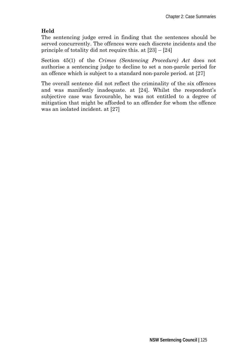## **Held**

The sentencing judge erred in finding that the sentences should be served concurrently. The offences were each discrete incidents and the principle of totality did not require this. at [23] – [24]

Section 45(1) of the *Crimes (Sentencing Procedure) Act* does not authorise a sentencing judge to decline to set a non-parole period for an offence which is subject to a standard non-parole period. at [27]

The overall sentence did not reflect the criminality of the six offences and was manifestly inadequate. at [24]. Whilst the respondent's subjective case was favourable, he was not entitled to a degree of mitigation that might be afforded to an offender for whom the offence was an isolated incident. at [27]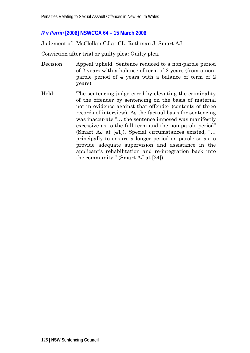## *R v Perrin* **[2006] NSWCCA 64 – 15 March 2006**

Judgment of: McClellan CJ at CL; Rothman J; Smart AJ

Conviction after trial or guilty plea: Guilty plea.

- Decision: Appeal upheld. Sentence reduced to a non-parole period of 2 years with a balance of term of 2 years (from a nonparole period of 4 years with a balance of term of 2 years).
- Held: The sentencing judge erred by elevating the criminality of the offender by sentencing on the basis of material not in evidence against that offender (contents of three records of interview). As the factual basis for sentencing was inaccurate "… the sentence imposed was manifestly excessive as to the full term and the non-parole period" (Smart AJ at [41]). Special circumstances existed, "… principally to ensure a longer period on parole so as to provide adequate supervision and assistance in the applicant's rehabilitation and re-integration back into the community." (Smart AJ at [24]).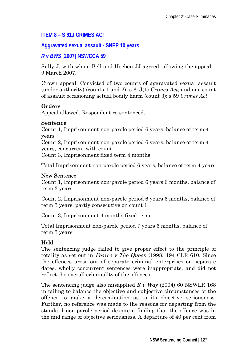## **ITEM 8 – S 61J CRIMES ACT**

## **Aggravated sexual assault - SNPP 10 years**

#### *R v BWS* **[2007] NSWCCA 59**

Sully J, with whom Bell and Hoeben JJ agreed, allowing the appeal – 9 March 2007.

Crown appeal. Convicted of two counts of aggravated sexual assault (under authority) (counts 1 and 2): s 61J(1) *Crimes Act*; and one count of assault occasioning actual bodily harm (count 3): s 59 *Crimes Act*.

#### **Orders**

Appeal allowed. Respondent re-sentenced.

#### **Sentence**

Count 1, Imprisonment non-parole period 6 years, balance of term 4 years

Count 2, Imprisonment non-parole period 6 years, balance of term 4 years, concurrent with count 1

Count 3, Imprisonment fixed term 4 months

Total Imprisonment non-parole period 6 years, balance of term 4 years

## New Sentence

Count 1, Imprisonment non-parole period 6 years 6 months, balance of term 3 years

Count 2, Imprisonment non-parole period 6 years 6 months, balance of term 3 years, partly consecutive on count 1

Count 3, Imprisonment 4 months fixed term

Total Imprisonment non-parole period 7 years 6 months, balance of term 3 years

## Held

The sentencing judge failed to give proper effect to the principle of totality as set out in Pearce v The Queen (1998) 194 CLR 610. Since the offences arose out of separate criminal enterprises on separate dates, wholly concurrent sentences were inappropriate, and did not reflect the overall criminality of the offences.

The sentencing judge also misapplied *R v Way* (2004) 60 NSWLR 168 in failing to balance the objective and subjective circumstances of the offence to make a determination as to its objective seriousness. Further, no reference was made to the reasons for departing from the standard non-parole period despite a finding that the offence was in the mid range of objective seriousness. A departure of 40 per cent from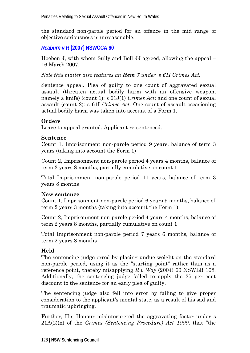the standard non-parole period for an offence in the mid range of objective seriousness is unreasonable.

## *Reaburn v R* **[2007] NSWCCA 60**

Hoeben J, with whom Sully and Bell JJ agreed, allowing the appeal – 16 March 2007.

*Note this matter also features an Item 7 under s 61I Crimes Act.* 

Sentence appeal. Plea of guilty to one count of aggravated sexual assault (threaten actual bodily harm with an offensive weapon, namely a knife) (count 1): s 61J(1) *Crimes Act*; and one count of sexual assault (count 2): s 61I *Crimes Act*. One count of assault occasioning actual bodily harm was taken into account of a Form 1.

## **Orders**

Leave to appeal granted. Applicant re-sentenced.

## **Sentence**

Count 1, Imprisonment non-parole period 9 years, balance of term 3 years (taking into account the Form 1)

Count 2, Imprisonment non-parole period 4 years 4 months, balance of term 3 years 8 months, partially cumulative on count 1

Total Imprisonment non-parole period 11 years, balance of term 3 years 8 months

## **New sentence**

Count 1, Imprisonment non-parole period 6 years 9 months, balance of term 2 years 3 months (taking into account the Form 1)

Count 2, Imprisonment non-parole period 4 years 4 months, balance of term 2 years 8 months, partially cumulative on count 1

Total Imprisonment non-parole period 7 years 6 months, balance of term 2 years 8 months

## **Held**

The sentencing judge erred by placing undue weight on the standard non-parole period, using it as the "starting point" rather than as a reference point, thereby misapplying *R v Way* (2004) 60 NSWLR 168. Additionally, the sentencing judge failed to apply the 25 per cent discount to the sentence for an early plea of guilty.

The sentencing judge also fell into error by failing to give proper consideration to the applicant's mental state, as a result of his sad and traumatic upbringing.

Further, His Honour misinterpreted the aggravating factor under s 21A(2)(n) of the *Crimes (Sentencing Procedure) Act 1999*, that "the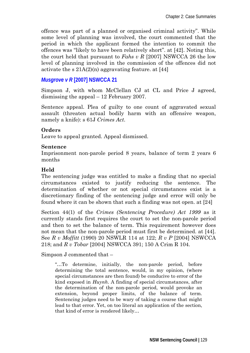offence was part of a planned or organised criminal activity". While some level of planning was involved, the court commented that the period in which the applicant formed the intention to commit the offences was "likely to have been relatively short". at [42]. Noting this, the court held that pursuant to *Fahs v R* [2007] NSWCCA 26 the low level of planning involved in the commission of the offences did not activate the s  $21A(2)(n)$  aggravating feature. at [44]

## *Musgrove v R* **[2007] NSWCCA 21**

Simpson J, with whom McClellan CJ at CL and Price J agreed, dismissing the appeal – 12 February 2007.

Sentence appeal. Plea of guilty to one count of aggravated sexual assault (threaten actual bodily harm with an offensive weapon, namely a knife): s 61J *Crimes Act*.

#### **Orders**

Leave to appeal granted. Appeal dismissed.

#### **Sentence**

Imprisonment non-parole period 8 years, balance of term 2 years 6 months

## **Held**

The sentencing judge was entitled to make a finding that no special circumstances existed to justify reducing the sentence. The determination of whether or not special circumstances exist is a discretionary finding of the sentencing judge and error will only be found where it can be shown that such a finding was not open. at [24]

Section 44(1) of the *Crimes (Sentencing Procedure) Act 1999* as it currently stands first requires the court to set the non-parole period and then to set the balance of term. This requirement however does not mean that the non-parole period must first be determined. at [44]. See *R v Moffitt* (1990) 20 NSWLR 114 at 122; *R v P* [2004] NSWCCA 218; and *R v Tobar* [2004] NSWCCA 391; 150 A Crim R 104.

Simpson J commented that –

"…To determine, initially, the non-parole period, before determining the total sentence, would, in my opinion, (where special circumstances are then found) be conducive to error of the kind exposed in *Huynh*. A finding of special circumstances, after the determination of the non-parole period, would provoke an extension, beyond proper limits, of the balance of term. Sentencing judges need to be wary of taking a course that might lead to that error. Yet, on too literal an application of the section, that kind of error is rendered likely…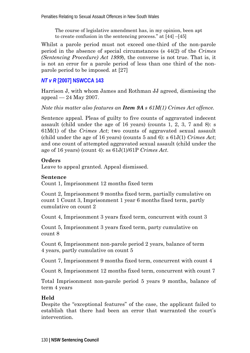The course of legislative amendment has, in my opinion, been apt to create confusion in the sentencing process." at [44] –[45]

Whilst a parole period must not exceed one-third of the non-parole period in the absence of special circumstances (s 44(2) of the *Crimes (Sentencing Procedure) Act 1999*), the converse is not true. That is, it is not an error for a parole period of less than one third of the nonparole period to be imposed. at [27]

## *NT v R* **[2007] NSWCCA 143**

Harrison J, with whom James and Rothman JJ agreed, dismissing the appeal  $-24$  May 2007.

*Note this matter also features an Item 9A s 61M(1) Crimes Act offence.* 

Sentence appeal. Pleas of guilty to five counts of aggravated indecent assault (child under the age of 16 years) (counts 1, 2, 3, 7 and 8): s 61M(1) of the *Crimes Act*; two counts of aggravated sexual assault (child under the age of 16 years) (counts 5 and 6): s 61J(1) *Crimes Act*; and one count of attempted aggravated sexual assault (child under the age of 16 years) (count 4): ss 61J(1)/61P *Crimes Act*.

## **Orders**

Leave to appeal granted. Appeal dismissed.

#### **Sentence**

Count 1, Imprisonment 12 months fixed term

Count 2, Imprisonment 9 months fixed term, partially cumulative on count 1 Count 3, Imprisonment 1 year 6 months fixed term, partly cumulative on count 2

Count 4, Imprisonment 3 years fixed term, concurrent with count 3

Count 5, Imprisonment 3 years fixed term, party cumulative on count 8

Count 6, Imprisonment non-parole period 2 years, balance of term 4 years, partly cumulative on count 5

Count 7, Imprisonment 9 months fixed term, concurrent with count 4

Count 8, Imprisonment 12 months fixed term, concurrent with count 7

Total Imprisonment non-parole period 5 years 9 months, balance of term 4 years

## **Held**

Despite the "exceptional features" of the case, the applicant failed to establish that there had been an error that warranted the court's intervention.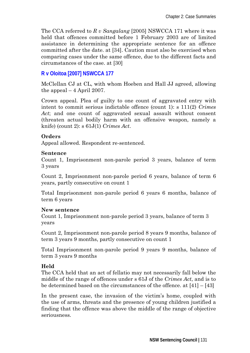The CCA referred to *R v Sangalang* [2005] NSWCCA 171 where it was held that offences committed before 1 February 2003 are of limited assistance in determining the appropriate sentence for an offence committed after the date. at [34]. Caution must also be exercised when comparing cases under the same offence, due to the different facts and circumstances of the case. at [30]

## **R v Oloitoa [2007] NSWCCA 177**

McClellan CJ at CL, with whom Hoeben and Hall JJ agreed, allowing the appeal  $-4$  April 2007.

Crown appeal. Plea of guilty to one count of aggravated entry with intent to commit serious indictable offence (count 1): s 111(2) *Crimes Act*; and one count of aggravated sexual assault without consent (threaten actual bodily harm with an offensive weapon, namely a knife) (count 2): s 61J(1) *Crimes Act*.

#### **Orders**

Appeal allowed. Respondent re-sentenced.

#### **Sentence**

Count 1, Imprisonment non-parole period 3 years, balance of term 3 years

Count 2, Imprisonment non-parole period 6 years, balance of term 6 years, partly consecutive on count 1

Total Imprisonment non-parole period 6 years 6 months, balance of term 6 years

#### **New sentence**

Count 1, Imprisonment non-parole period 3 years, balance of term 3 years

Count 2, Imprisonment non-parole period 8 years 9 months, balance of term 3 years 9 months, partly consecutive on count 1

Total Imprisonment non-parole period 9 years 9 months, balance of term 3 years 9 months

## **Held**

The CCA held that an act of fellatio may not necessarily fall below the middle of the range of offences under s 61J of the *Crimes Act*, and is to be determined based on the circumstances of the offence. at [41] – [43]

In the present case, the invasion of the victim's home, coupled with the use of arms, threats and the presence of young children justified a finding that the offence was above the middle of the range of objective seriousness.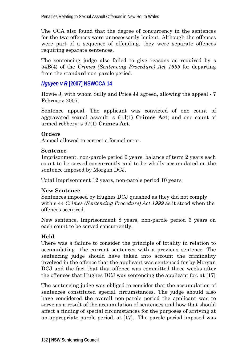The CCA also found that the degree of concurrency in the sentences for the two offences were unnecessarily lenient. Although the offences were part of a sequence of offending, they were separate offences requiring separate sentences.

The sentencing judge also failed to give reasons as required by s 54B(4) of the *Crimes (Sentencing Procedure) Act 1999* for departing from the standard non-parole period.

## *Nguyen v R* **[2007] NSWCCA 14**

Howie J, with whom Sully and Price JJ agreed, allowing the appeal - 7 February 2007.

Sentence appeal. The applicant was convicted of one count of aggravated sexual assault: s 61J(1) **Crimes Act**; and one count of armed robbery: s 97(1) **Crimes Act**.

#### **Orders**

Appeal allowed to correct a formal error.

#### **Sentence**

Imprisonment, non-parole period 6 years, balance of term 2 years each count to be served concurrently and to be wholly accumulated on the sentence imposed by Morgan DCJ.

Total Imprisonment 12 years, non-parole period 10 years

## **New Sentence**

Sentences imposed by Hughes DCJ quashed as they did not comply with s 44 *Crimes (Sentencing Procedure) Act 1999* as it stood when the offences occurred.

New sentence, Imprisonment 8 years, non-parole period 6 years on each count to be served concurrently.

## **Held**

There was a failure to consider the principle of totality in relation to accumulating the current sentences with a previous sentence. The sentencing judge should have taken into account the criminality involved in the offence that the applicant was sentenced for by Morgan DCJ and the fact that that offence was committed three weeks after the offences that Hughes DCJ was sentencing the applicant for. at [17]

The sentencing judge was obliged to consider that the accumulation of sentences constituted special circumstances. The judge should also have considered the overall non-parole period the applicant was to serve as a result of the accumulation of sentences and how that should affect a finding of special circumstances for the purposes of arriving at an appropriate parole period. at [17]. The parole period imposed was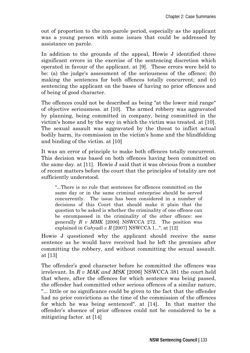out of proportion to the non-parole period, especially as the applicant was a young person with some issues that could be addressed by assistance on parole.

In addition to the grounds of the appeal, Howie J identified three significant errors in the exercise of the sentencing discretion which operated in favour of the applicant. at [9]. These errors were held to be: (a) the judge's assessment of the seriousness of the offence; (b) making the sentences for both offences totally concurrent; and (c) sentencing the applicant on the bases of having no prior offences and of being of good character.

The offences could not be described as being "at the lower mid range" of objective seriousness. at [10]. The armed robbery was aggravated by planning, being committed in company, being committed in the victim's home and by the way in which the victim was treated. at [10]. The sexual assault was aggravated by the threat to inflict actual bodily harm, its commission in the victim's home and the blindfolding and binding of the victim. at [10]

It was an error of principle to make both offences totally concurrent. This decision was based on both offences having been committed on the same day. at [11]. Howie J said that it was obvious from a number of recent matters before the court that the principles of totality are not sufficiently understood.

"...There is no rule that sentences for offences committed on the same day or in the same criminal enterprise should be served concurrently. The issue has been considered in a number of decisions of this Court that should make it plain that the question to be asked is whether the criminality of one offence can be encompassed in the criminality of the other offence: see generally *R v MMK* [2006] NSWCCA 272. The position was explained in *Cahyadi v R* [2007] NSWCCA 1...". at [12]

Howie J questioned why the applicant should receive the same sentence as he would have received had he left the premises after committing the robbery, and without committing the sexual assault. at [13]

The offender's good character before he committed the offences was irrelevant. In *R v MAK and MSK* [2006] NSWCCA 381 the court held that where, after the offences for which sentence was being passed, the offender had committed other serious offences of a similar nature, "... little or no significance could be given to the fact that the offender had no prior convictions as the time of the commission of the offences for which he was being sentenced". at [14]. In that matter the offender's absence of prior offences could not be considered to be a mitigating factor. at [14]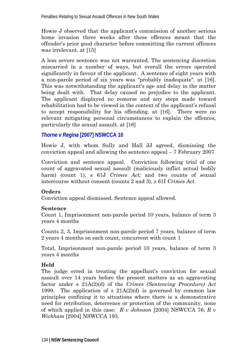Howie J observed that the applicant's commission of another serious home invasion three weeks after these offences meant that the offender's prior good character before committing the current offences was irrelevant. at [15]

A less severe sentence was not warranted. The sentencing discretion miscarried in a number of ways, but overall the errors operated significantly in favour of the applicant. A sentence of eight years with a non-parole period of six years was "probably inadequate". at [16]. This was notwithstanding the applicant's age and delay in the matter being dealt with. That delay caused no prejudice to the applicant. The applicant displayed no remorse and any steps made toward rehabilitation had to be viewed in the context of the applicant's refusal to accept responsibility for his offending. at [16]. There were no relevant mitigating personal circumstances to explain the offences, particularly the sexual assault. at [16]

## *Thorne v Regina* **[2007] NSWCCA 10**

Howie J, with whom Sully and Hall JJ agreed, dismissing the conviction appeal and allowing the sentence appeal – 7 February 2007

Conviction and sentence appeal. Conviction following trial of one count of aggravated sexual assault (maliciously inflict actual bodily harm) (count 1), s 61J *Crimes Act*; and two counts of sexual intercourse without consent (counts 2 and 3), s 61I *Crimes Act.* 

#### **Orders**

Conviction appeal dismissed. Sentence appeal allowed.

#### **Sentence**

Count 1, Imprisonment non-parole period 10 years, balance of term 3 years 4 months

Counts 2, 3, Imprisonment non-parole period 7 years, balance of term 2 years 4 months on each count, concurrent with count 1

Total, Imprisonment non-parole period 10 years, balance of term 3 years 4 months

## **Held**

The judge erred in treating the appellant's conviction for sexual assault over 14 years before the present matters as an aggravating factor under s 21A(2)(d) of the *Crimes (Sentencing Procedure) Act* 1999. The application of s  $21A(2)(d)$  is governed by common law principles confining it to situations where there is a demonstrative need for retribution, deterrence or protection of the community, none of which applied in this case: *R v Johnson* [2004] NSWCCA 76; *R v Wickham* [2004] NSWCCA 193.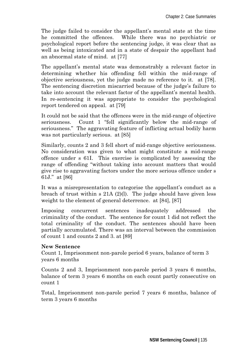The judge failed to consider the appellant's mental state at the time he committed the offences. While there was no psychiatric or psychological report before the sentencing judge, it was clear that as well as being intoxicated and in a state of despair the appellant had an abnormal state of mind. at [77]

The appellant's mental state was demonstrably a relevant factor in determining whether his offending fell within the mid-range of objective seriousness, yet the judge made no reference to it. at [78]. The sentencing discretion miscarried because of the judge's failure to take into account the relevant factor of the appellant's mental health. In re-sentencing it was appropriate to consider the psychological report tendered on appeal. at [79]

It could not be said that the offences were in the mid-range of objective seriousness. Count 1 "fell significantly below the mid-range of seriousness." The aggravating feature of inflicting actual bodily harm was not particularly serious. at [85]

Similarly, counts 2 and 3 fell short of mid-range objective seriousness. No consideration was given to what might constitute a mid-range offence under s 61I. This exercise is complicated by assessing the range of offending "without taking into account matters that would give rise to aggravating factors under the more serious offence under s 61J." at [86]

It was a misrepresentation to categorise the appellant's conduct as a breach of trust within s 21A (2)(l). The judge should have given less weight to the element of general deterrence. at [84], [87]

Imposing concurrent sentences inadequately addressed the criminality of the conduct. The sentence for count 1 did not reflect the total criminality of the conduct. The sentences should have been partially accumulated. There was an interval between the commission of count 1 and counts 2 and 3. at [89]

#### **New Sentence**

Count 1, Imprisonment non-parole period 6 years, balance of term 3 years 6 months

Counts 2 and 3, Imprisonment non-parole period 3 years 6 months, balance of term 3 years 6 months on each count partly consecutive on count 1

Total, Imprisonment non-parole period 7 years 6 months, balance of term 3 years 6 months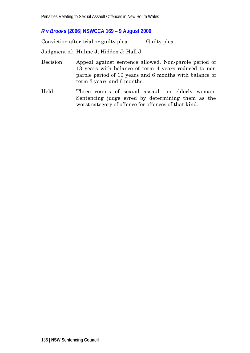## *R v Brooks* **[2006] NSWCCA 169 – 9 August 2006**

Conviction after trial or guilty plea: Guilty plea

Judgment of: Hulme J; Hidden J; Hall J

- Decision: Appeal against sentence allowed. Non-parole period of 13 years with balance of term 4 years reduced to non parole period of 10 years and 6 months with balance of term 3 years and 6 months.
- Held: Three counts of sexual assault on elderly woman. Sentencing judge erred by determining them as the worst category of offence for offences of that kind.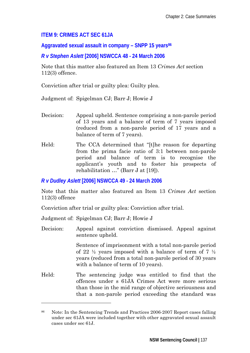## **ITEM 9: CRIMES ACT SEC 61JA**

Aggravated sexual assault in company - SNPP 15 years<sup>86</sup>

## *R v Stephen Aslett* **[2006] NSWCCA 48 - 24 March 2006**

Note that this matter also featured an Item 13 *Crimes Act* section 112(3) offence.

Conviction after trial or guilty plea: Guilty plea.

Judgment of: Spigelman CJ; Barr J; Howie J

- Decision: Appeal upheld. Sentence comprising a non-parole period of 13 years and a balance of term of 7 years imposed (reduced from a non-parole period of 17 years and a balance of term of 7 years).
- Held: The CCA determined that "[t]he reason for departing from the prima facie ratio of 3:1 between non-parole period and balance of term is to recognise the applicant's youth and to foster his prospects of rehabilitation …" (Barr J at [19]).

*R v Dudley Aslett* **[2006] NSWCCA 49 - 24 March 2006** 

Note that this matter also featured an Item 13 *Crimes Act* section 112(3) offence

Conviction after trial or guilty plea: Conviction after trial.

Judgment of: Spigelman CJ; Barr J; Howie J

 $\overline{a}$ 

Decision: Appeal against conviction dismissed. Appeal against sentence upheld.

> Sentence of imprisonment with a total non-parole period of 22  $\frac{1}{2}$  years imposed with a balance of term of 7  $\frac{1}{2}$ years (reduced from a total non-parole period of 30 years with a balance of term of 10 years).

Held: The sentencing judge was entitled to find that the offences under s 61JA Crimes Act were more serious than those in the mid range of objective seriousness and that a non-parole period exceeding the standard was

<sup>86</sup> Note: In the Sentencing Trends and Practices 2006-2007 Report cases falling under sec 61JA were included together with other aggravated sexual assault cases under sec 61J.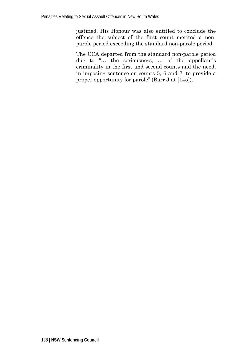justified. His Honour was also entitled to conclude the offence the subject of the first count merited a nonparole period exceeding the standard non-parole period.

The CCA departed from the standard non-parole period due to "… the seriousness, … of the appellant's criminality in the first and second counts and the need, in imposing sentence on counts 5, 6 and 7, to provide a proper opportunity for parole" (Barr J at [145]).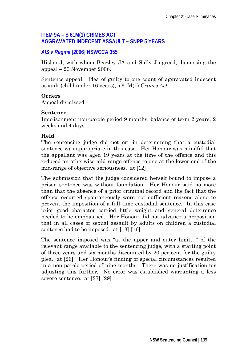## **ITEM 9A – S 61M(1) CRIMES ACT AGGRAVATED INDECENT ASSAULT – SNPP 5 YEARS**

## *AIS v Regina* **[2006] NSWCCA 355**

Hislop J, with whom Beazley JA and Sully J agreed, dismissing the appeal – 20 November 2006.

Sentence appeal. Plea of guilty to one count of aggravated indecent assault (child under 16 years), s 61M(1) *Crimes Act.* 

#### **Orders**

Appeal dismissed.

#### **Sentence**

Imprisonment non-parole period 9 months, balance of term 2 years, 2 weeks and 4 days

## **Held**

The sentencing judge did not err in determining that a custodial sentence was appropriate in this case. Her Honour was mindful that the appellant was aged 19 years at the time of the offence and this reduced an otherwise mid-range offence to one at the lower end of the mid-range of objective seriousness. at [12]

The submission that the judge considered herself bound to impose a prison sentence was without foundation. Her Honour said no more than that the absence of a prior criminal record and the fact that the offence occurred spontaneously were not sufficient reasons alone to prevent the imposition of a full time custodial sentence. In this case prior good character carried little weight and general deterrence needed to be emphasised. Her Honour did not advance a proposition that in all cases of sexual assault by adults on children a custodial sentence had to be imposed. at [13]-[16]

The sentence imposed was "at the upper and outer limit…" of the relevant range available to the sentencing judge, with a starting point of three years and six months discounted by 20 per cent for the guilty plea. at [26]. Her Honour's finding of special circumstances resulted in a non-parole period of nine months. There was no justification for adjusting this further. No error was established warranting a less severe sentence. at [27]-[29]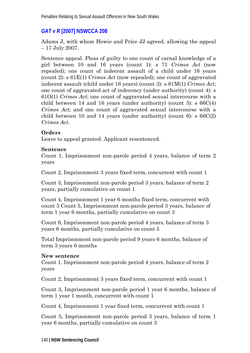# *GAT v R* **[2007] NSWCCA 208**

Adams J, with whom Howie and Price JJ agreed, allowing the appeal – 17 July 2007.

Sentence appeal. Pleas of guilty to one count of carnal knowledge of a girl between 10 and 16 years (count 1): s 71 *Crimes Act* (now repealed); one count of indecent assault of a child under 16 years (count 2): s 61E(1) *Crimes Act* (now repealed); one count of aggravated indecent assault (child under 16 years) (count 3): s 61M(1) *Crimes Act*; one count of aggravated act of indecency (under authority) (count 4): s 61O(1) *Crimes Act*; one count of aggravated sexual intercourse with a child between 14 and 16 years (under authority) (count 5):  $\frac{66C(4)}{2}$ *Crimes Act*; and one count of aggravated sexual intercourse with a child between 10 and 14 years (under authority) (count 6):  $\epsilon$  66C(2) *Crimes Act*.

## **Orders**

Leave to appeal granted. Applicant resentenced.

## **Sentence**

Count 1, Imprisonment non-parole period 4 years, balance of term 2 years

Count 2, Imprisonment 3 years fixed term, concurrent with count 1

Count 3, Imprisonment non-parole period 3 years, balance of term 2 years, partially cumulative on count 1

Count 4, Imprisonment 1 year 6 months fixed term, concurrent with count 3 Count 5, Imprisonment non-parole period 3 years, balance of term 1 year 6 months, partially cumulative on count 3

Count 6, Imprisonment non-parole period 4 years, balance of term 3 years 6 months, partially cumulative on count 5

Total Imprisonment non-parole period 9 years 6 months, balance of term 3 years 6 months

## **New sentence**

Count 1, Imprisonment non-parole period 4 years, balance of term 2 years

Count 2, Imprisonment 3 years fixed term, concurrent with count 1

Count 3, Imprisonment non-parole period 1 year 6 months, balance of term 1 year 1 month, concurrent with count 1

Count 4, Imprisonment 1 year fixed term, concurrent with count 1

Count 5, Imprisonment non-parole period 3 years, balance of term 1 year 6 months, partially cumulative on count 3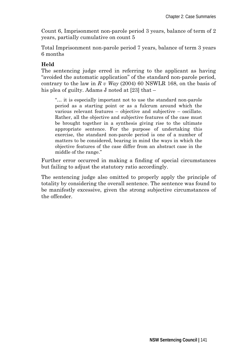Count 6, Imprisonment non-parole period 3 years, balance of term of 2 years, partially cumulative on count 5

Total Imprisonment non-parole period 7 years, balance of term 3 years 6 months

## **Held**

The sentencing judge erred in referring to the applicant as having "avoided the automatic application" of the standard non-parole period, contrary to the law in *R v Way* (2004) 60 NSWLR 168, on the basis of his plea of guilty. Adams J noted at [23] that –

"… it is especially important not to use the standard non-parole period as a starting point or as a fulcrum around which the various relevant features – objective and subjective – oscillate. Rather, all the objective and subjective features of the case must be brought together in a synthesis giving rise to the ultimate appropriate sentence. For the purpose of undertaking this exercise, the standard non-parole period is one of a number of matters to be considered, bearing in mind the ways in which the objective features of the case differ from an abstract case in the middle of the range."

Further error occurred in making a finding of special circumstances but failing to adjust the statutory ratio accordingly.

The sentencing judge also omitted to properly apply the principle of totality by considering the overall sentence. The sentence was found to be manifestly excessive, given the strong subjective circumstances of the offender.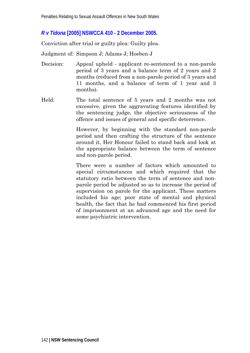## *R v Tidona* **[2005] NSWCCA 410** *-* **2 December 2005.**

Conviction after trial or guilty plea: Guilty plea.

Judgment of: Simpson J; Adams J; Hoeben J

- Decision: Appeal upheld applicant re-sentenced to a non-parole period of 3 years and a balance term of 2 years and 2 months (reduced from a non-parole period of 3 years and 11 months, and a balance of term of 1 year and 3 months).
- Held: The total sentence of 5 years and 2 months was not excessive, given the aggravating features identified by the sentencing judge, the objective seriousness of the offence and issues of general and specific deterrence.

However, by beginning with the standard non-parole period and then crafting the structure of the sentence around it, Her Honour failed to stand back and look at the appropriate balance between the term of sentence and non-parole period.

There were a number of factors which amounted to special circumstances and which required that the statutory ratio between the term of sentence and nonparole period be adjusted so as to increase the period of supervision on parole for the applicant. These matters included his age; poor state of mental and physical health, the fact that he had commenced his first period of imprisonment at an advanced age and the need for some psychiatric intervention.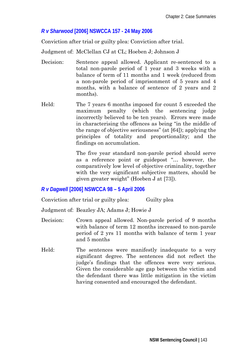## *R v Sharwood* **[2006] NSWCCA 157 - 24 May 2006**

Conviction after trial or guilty plea: Conviction after trial.

Judgment of: McClellan CJ at CL; Hoeben J; Johnson J

- Decision: Sentence appeal allowed. Applicant re-sentenced to a total non-parole period of 1 year and 3 weeks with a balance of term of 11 months and 1 week (reduced from a non-parole period of imprisonment of 5 years and 4 months, with a balance of sentence of 2 years and 2 months).
- Held: The 7 years 6 months imposed for count 5 exceeded the maximum penalty (which the sentencing judge incorrectly believed to be ten years). Errors were made in characterising the offences as being "in the middle of the range of objective seriousness" (at [64]); applying the principles of totality and proportionality; and the findings on accumulation.

 The five year standard non-parole period should serve as a reference point or guidepost "… however, the comparatively low level of objective criminality, together with the very significant subjective matters, should be given greater weight" (Hoeben J at [73]).

## *R v Dagwell* **[2006] NSWCCA 98 – 5 April 2006**

Conviction after trial or guilty plea: Guilty plea

Judgment of: Beazley JA; Adams J; Howie J

- Decision: Crown appeal allowed. Non-parole period of 9 months with balance of term 12 months increased to non-parole period of 2 yrs 11 months with balance of term 1 year and 5 months
- Held: The sentences were manifestly inadequate to a very significant degree. The sentences did not reflect the judge's findings that the offences were very serious. Given the considerable age gap between the victim and the defendant there was little mitigation in the victim having consented and encouraged the defendant.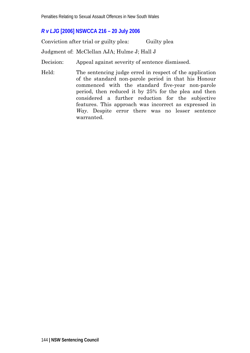## *R v LJG* **[2006] NSWCCA 216 – 20 July 2006**

Conviction after trial or guilty plea: Guilty plea

Judgment of: McClellan AJA; Hulme J; Hall J

Decision: Appeal against severity of sentence dismissed.

Held: The sentencing judge erred in respect of the application of the standard non-parole period in that his Honour commenced with the standard five-year non-parole period, then reduced it by 25% for the plea and then considered a further reduction for the subjective features. This approach was incorrect as expressed in *Way*. Despite error there was no lesser sentence warranted.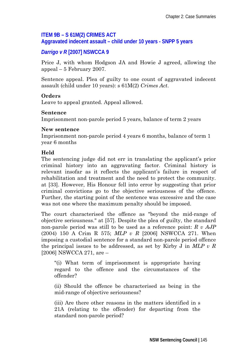# **ITEM 9B – S 61M(2) CRIMES ACT**

**Aggravated indecent assault – child under 10 years - SNPP 5 years** 

# *Darrigo v R* **[2007] NSWCCA 9**

Price J, with whom Hodgson JA and Howie J agreed, allowing the appeal – 5 February 2007.

Sentence appeal. Plea of guilty to one count of aggravated indecent assault (child under 10 years): s 61M(2) *Crimes Act*.

#### **Orders**

Leave to appeal granted. Appeal allowed.

#### **Sentence**

Imprisonment non-parole period 5 years, balance of term 2 years

#### **New sentence**

Imprisonment non-parole period 4 years 6 months, balance of term 1 year 6 months

### **Held**

The sentencing judge did not err in translating the applicant's prior criminal history into an aggravating factor. Criminal history is relevant insofar as it reflects the applicant's failure in respect of rehabilitation and treatment and the need to protect the community. at [33]. However, His Honour fell into error by suggesting that prior criminal convictions go to the objective seriousness of the offence. Further, the starting point of the sentence was excessive and the case was not one where the maximum penalty should be imposed.

The court characterised the offence as "beyond the mid-range of objective seriousness." at [57]. Despite the plea of guilty, the standard non-parole period was still to be used as a reference point: *R v AJP* (2004) 150 A Crim R 575; *MLP v R* [2006] NSWCCA 271. When imposing a custodial sentence for a standard non-parole period offence the principal issues to be addressed, as set by Kirby J in *MLP v R* [2006] NSWCCA 271, are –

"(i) What term of imprisonment is appropriate having regard to the offence and the circumstances of the offender?

(ii) Should the offence be characterised as being in the mid-range of objective seriousness?

(iii) Are there other reasons in the matters identified in s 21A (relating to the offender) for departing from the standard non-parole period?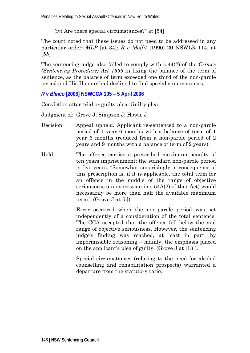Penalties Relating to Sexual Assault Offences in New South Wales

(iv) Are there special circumstances?" at [54]

The court noted that these issues do not need to be addressed in any particular order: *MLP* [at 34]; *R v Moffit* (1990) 20 NSWLR 114. at [55]

The sentencing judge also failed to comply with s 44(2) of the *Crimes (Sentencing Procedure) Act 1999* in fixing the balance of the term of sentence, as the balance of term exceeded one third of the non-parole period and His Honour had declined to find special circumstances.

# *R v Blinco* **[2006] NSWCCA 105 – 5 April 2006**

Conviction after trial or guilty plea: Guilty plea.

Judgment of: Grove J; Simpson J; Howie J

- Decision: Appeal upheld. Applicant re-sentenced to a non-parole period of 1 year 6 months with a balance of term of 1 year 6 months (reduced from a non-parole period of 2 years and 9 months with a balance of term of 2 years).
- Held: The offence carries a prescribed maximum penalty of ten years imprisonment; the standard non-parole period is five years. "Somewhat surprisingly, a consequence of this prescription is, if it is applicable, the total term for an offence in the middle of the range of objective seriousness (an expression in s 54A(2) of that Act) would necessarily be more than half the available maximum term." (Grove J at [5]).

Error occurred when the non-parole period was set independently of a consideration of the total sentence. The CCA accepted that the offence fell below the mid range of objective seriousness. However, the sentencing judge's finding was reached, at least in part, by impermissible reasoning – mainly, the emphasis placed on the applicant's plea of guilty. (Grove J at [13]).

Special circumstances (relating to the need for alcohol counselling and rehabilitation prospects) warranted a departure from the statutory ratio.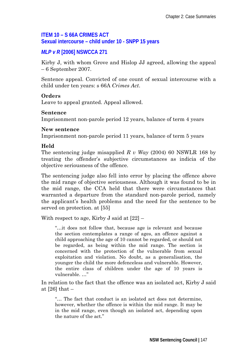# **ITEM 10 – S 66A CRIMES ACT Sexual intercourse – child under 10 - SNPP 15 years**

# *MLP v R* **[2006] NSWCCA 271**

Kirby J, with whom Grove and Hislop JJ agreed, allowing the appeal – 6 September 2007.

Sentence appeal. Convicted of one count of sexual intercourse with a child under ten years: s 66A *Crimes Act*.

#### **Orders**

Leave to appeal granted. Appeal allowed.

#### **Sentence**

Imprisonment non-parole period 12 years, balance of term 4 years

#### **New sentence**

Imprisonment non-parole period 11 years, balance of term 5 years

# **Held**

The sentencing judge misapplied *R v Way* (2004) 60 NSWLR 168 by treating the offender's subjective circumstances as indicia of the objective seriousness of the offence.

The sentencing judge also fell into error by placing the offence above the mid range of objective seriousness. Although it was found to be in the mid range, the CCA held that there were circumstances that warranted a departure from the standard non-parole period, namely the applicant's health problems and the need for the sentence to be served on protection. at [55]

With respect to age, Kirby J said at  $[22]$  –

"…it does not follow that, because age is relevant and because the section contemplates a range of ages, an offence against a child approaching the age of 10 cannot be regarded, or should not be regarded, as being within the mid range. The section is concerned with the protection of the vulnerable from sexual exploitation and violation. No doubt, as a generalisation, the younger the child the more defenceless and vulnerable. However, the entire class of children under the age of 10 years is vulnerable. …"

In relation to the fact that the offence was an isolated act, Kirby J said at  $[26]$  that  $-$ 

"… The fact that conduct is an isolated act does not determine, however, whether the offence is within the mid range. It may be in the mid range, even though an isolated act, depending upon the nature of the act."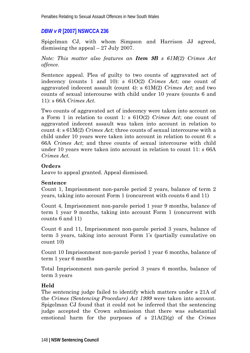# *DBW v R* **[2007] NSWCCA 236**

Spigelman CJ, with whom Simpson and Harrison JJ agreed, dismissing the appeal – 27 July 2007.

*Note: This matter also features an Item 9B s 61M(2) Crimes Act offence.*

Sentence appeal. Plea of guilty to two counts of aggravated act of indecency (counts 1 and 10): s 61O(2) *Crimes Act*; one count of aggravated indecent assault (count 4): s 61M(2) *Crimes Act*; and two counts of sexual intercourse with child under 10 years (counts 6 and 11): s 66A *Crimes Act.*

Two counts of aggravated act of indecency were taken into account on a Form 1 in relation to count 1: s 61O(2) *Crimes Act*; one count of aggravated indecent assault was taken into account in relation to count 4: s 61M(2) *Crimes Act*; three counts of sexual intercourse with a child under 10 years were taken into account in relation to count 6: s 66A *Crimes Act*; and three counts of sexual intercourse with child under 10 years were taken into account in relation to count 11: s 66A *Crimes Act.* 

### **Orders**

Leave to appeal granted. Appeal dismissed.

### **Sentence**

Count 1, Imprisonment non-parole period 2 years, balance of term 2 years, taking into account Form 1 (concurrent with counts 6 and 11)

Count 4, Imprisonment non-parole period 1 year 9 months, balance of term 1 year 9 months, taking into account Form 1 (concurrent with counts 6 and 11)

Count 6 and 11, Imprisonment non-parole period 3 years, balance of term 3 years, taking into account Form 1's (partially cumulative on count 10)

Count 10 Imprisonment non-parole period 1 year 6 months, balance of term 1 year 6 months

Total Imprisonment non-parole period 3 years 6 months, balance of term 3 years

### **Held**

The sentencing judge failed to identify which matters under s 21A of the *Crimes (Sentencing Procedure) Act 1999* were taken into account. Spigelman CJ found that it could not be inferred that the sentencing judge accepted the Crown submission that there was substantial emotional harm for the purposes of s 21A(2)(g) of the *Crimes*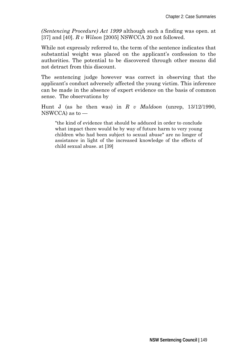*(Sentencing Procedure) Act 1999* although such a finding was open. at [37] and [40]. *R v Wilson* [2005] NSWCCA 20 not followed.

While not expressly referred to, the term of the sentence indicates that substantial weight was placed on the applicant's confession to the authorities. The potential to be discovered through other means did not detract from this discount.

The sentencing judge however was correct in observing that the applicant's conduct adversely affected the young victim. This inference can be made in the absence of expert evidence on the basis of common sense. The observations by

Hunt J (as he then was) in *R v Muldoon* (unrep, 13/12/1990, NSWCCA) as to —

"the kind of evidence that should be adduced in order to conclude what impact there would be by way of future harm to very young children who had been subject to sexual abuse" are no longer of assistance in light of the increased knowledge of the effects of child sexual abuse. at [39]